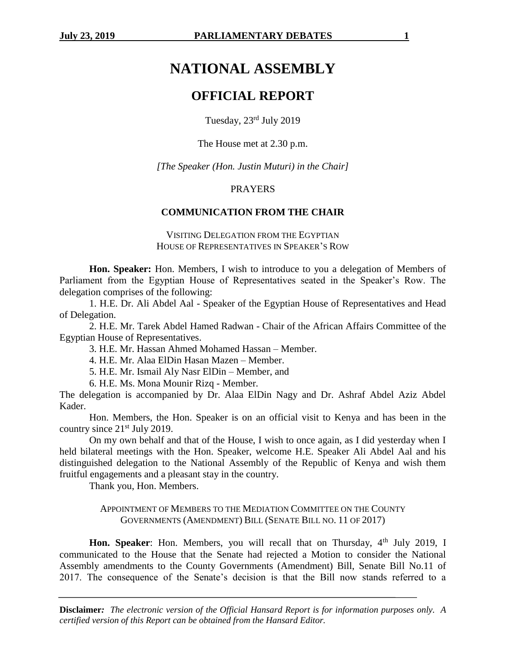# **NATIONAL ASSEMBLY**

## **OFFICIAL REPORT**

Tuesday, 23rd July 2019

The House met at 2.30 p.m.

*[The Speaker (Hon. Justin Muturi) in the Chair]*

#### **PRAYERS**

#### **COMMUNICATION FROM THE CHAIR**

VISITING DELEGATION FROM THE EGYPTIAN HOUSE OF REPRESENTATIVES IN SPEAKER'S ROW

**Hon. Speaker:** Hon. Members, I wish to introduce to you a delegation of Members of Parliament from the Egyptian House of Representatives seated in the Speaker's Row. The delegation comprises of the following:

1. H.E. Dr. Ali Abdel Aal - Speaker of the Egyptian House of Representatives and Head of Delegation.

2. H.E. Mr. Tarek Abdel Hamed Radwan - Chair of the African Affairs Committee of the Egyptian House of Representatives.

3. H.E. Mr. Hassan Ahmed Mohamed Hassan – Member.

4. H.E. Mr. Alaa ElDin Hasan Mazen – Member.

5. H.E. Mr. Ismail Aly Nasr ElDin – Member, and

6. H.E. Ms. Mona Mounir Rizq - Member.

The delegation is accompanied by Dr. Alaa ElDin Nagy and Dr. Ashraf Abdel Aziz Abdel Kader.

Hon. Members, the Hon. Speaker is on an official visit to Kenya and has been in the country since 21st July 2019.

On my own behalf and that of the House, I wish to once again, as I did yesterday when I held bilateral meetings with the Hon. Speaker, welcome H.E. Speaker Ali Abdel Aal and his distinguished delegation to the National Assembly of the Republic of Kenya and wish them fruitful engagements and a pleasant stay in the country.

Thank you, Hon. Members.

#### APPOINTMENT OF MEMBERS TO THE MEDIATION COMMITTEE ON THE COUNTY GOVERNMENTS (AMENDMENT) BILL (SENATE BILL NO. 11 OF 2017)

Hon. Speaker: Hon. Members, you will recall that on Thursday, 4<sup>th</sup> July 2019, I communicated to the House that the Senate had rejected a Motion to consider the National Assembly amendments to the County Governments (Amendment) Bill, Senate Bill No.11 of 2017. The consequence of the Senate's decision is that the Bill now stands referred to a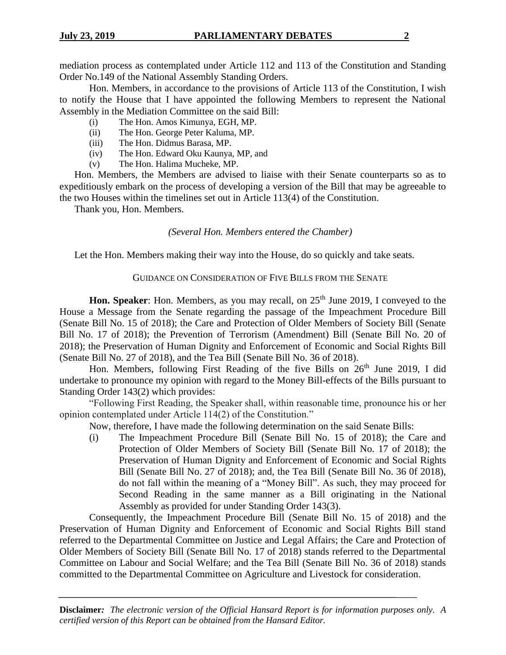mediation process as contemplated under Article 112 and 113 of the Constitution and Standing Order No.149 of the National Assembly Standing Orders.

Hon. Members, in accordance to the provisions of Article 113 of the Constitution, I wish to notify the House that I have appointed the following Members to represent the National Assembly in the Mediation Committee on the said Bill:

- (i) The Hon. Amos Kimunya, EGH, MP.
- (ii) The Hon. George Peter Kaluma, MP.
- (iii) The Hon. Didmus Barasa, MP.
- (iv) The Hon. Edward Oku Kaunya, MP, and
- (v) The Hon. Halima Mucheke, MP.

Hon. Members, the Members are advised to liaise with their Senate counterparts so as to expeditiously embark on the process of developing a version of the Bill that may be agreeable to the two Houses within the timelines set out in Article 113(4) of the Constitution.

Thank you, Hon. Members.

#### *(Several Hon. Members entered the Chamber)*

Let the Hon. Members making their way into the House, do so quickly and take seats.

#### GUIDANCE ON CONSIDERATION OF FIVE BILLS FROM THE SENATE

**Hon. Speaker**: Hon. Members, as you may recall, on 25<sup>th</sup> June 2019, I conveyed to the House a Message from the Senate regarding the passage of the Impeachment Procedure Bill (Senate Bill No. 15 of 2018); the Care and Protection of Older Members of Society Bill (Senate Bill No. 17 of 2018); the Prevention of Terrorism (Amendment) Bill (Senate Bill No. 20 of 2018); the Preservation of Human Dignity and Enforcement of Economic and Social Rights Bill (Senate Bill No. 27 of 2018), and the Tea Bill (Senate Bill No. 36 of 2018).

Hon. Members, following First Reading of the five Bills on  $26<sup>th</sup>$  June 2019, I did undertake to pronounce my opinion with regard to the Money Bill-effects of the Bills pursuant to Standing Order 143(2) which provides:

"Following First Reading, the Speaker shall, within reasonable time, pronounce his or her opinion contemplated under Article 114(2) of the Constitution."

Now, therefore, I have made the following determination on the said Senate Bills:

(i) The Impeachment Procedure Bill (Senate Bill No. 15 of 2018); the Care and Protection of Older Members of Society Bill (Senate Bill No. 17 of 2018); the Preservation of Human Dignity and Enforcement of Economic and Social Rights Bill (Senate Bill No. 27 of 2018); and, the Tea Bill (Senate Bill No. 36 0f 2018), do not fall within the meaning of a "Money Bill". As such, they may proceed for Second Reading in the same manner as a Bill originating in the National Assembly as provided for under Standing Order 143(3).

Consequently, the Impeachment Procedure Bill (Senate Bill No. 15 of 2018) and the Preservation of Human Dignity and Enforcement of Economic and Social Rights Bill stand referred to the Departmental Committee on Justice and Legal Affairs; the Care and Protection of Older Members of Society Bill (Senate Bill No. 17 of 2018) stands referred to the Departmental Committee on Labour and Social Welfare; and the Tea Bill (Senate Bill No. 36 of 2018) stands committed to the Departmental Committee on Agriculture and Livestock for consideration.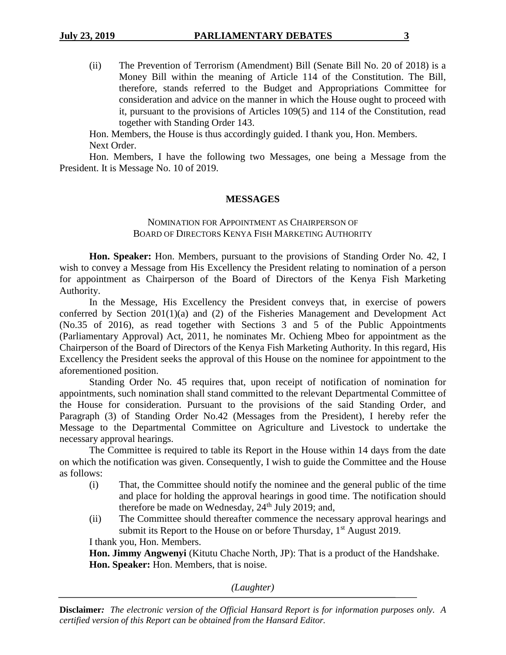(ii) The Prevention of Terrorism (Amendment) Bill (Senate Bill No. 20 of 2018) is a Money Bill within the meaning of Article 114 of the Constitution. The Bill, therefore, stands referred to the Budget and Appropriations Committee for consideration and advice on the manner in which the House ought to proceed with it, pursuant to the provisions of Articles 109(5) and 114 of the Constitution, read together with Standing Order 143.

Hon. Members, the House is thus accordingly guided. I thank you, Hon. Members. Next Order.

Hon. Members, I have the following two Messages, one being a Message from the President. It is Message No. 10 of 2019.

## **MESSAGES**

## NOMINATION FOR APPOINTMENT AS CHAIRPERSON OF BOARD OF DIRECTORS KENYA FISH MARKETING AUTHORITY

**Hon. Speaker:** Hon. Members, pursuant to the provisions of Standing Order No. 42, I wish to convey a Message from His Excellency the President relating to nomination of a person for appointment as Chairperson of the Board of Directors of the Kenya Fish Marketing Authority.

In the Message, His Excellency the President conveys that, in exercise of powers conferred by Section 201(1)(a) and (2) of the Fisheries Management and Development Act (No.35 of 2016), as read together with Sections 3 and 5 of the Public Appointments (Parliamentary Approval) Act, 2011, he nominates Mr. Ochieng Mbeo for appointment as the Chairperson of the Board of Directors of the Kenya Fish Marketing Authority. In this regard, His Excellency the President seeks the approval of this House on the nominee for appointment to the aforementioned position.

Standing Order No. 45 requires that, upon receipt of notification of nomination for appointments, such nomination shall stand committed to the relevant Departmental Committee of the House for consideration. Pursuant to the provisions of the said Standing Order, and Paragraph (3) of Standing Order No.42 (Messages from the President), I hereby refer the Message to the Departmental Committee on Agriculture and Livestock to undertake the necessary approval hearings.

The Committee is required to table its Report in the House within 14 days from the date on which the notification was given. Consequently, I wish to guide the Committee and the House as follows:

- (i) That, the Committee should notify the nominee and the general public of the time and place for holding the approval hearings in good time. The notification should therefore be made on Wednesday,  $24<sup>th</sup>$  July 2019; and,
- (ii) The Committee should thereafter commence the necessary approval hearings and submit its Report to the House on or before Thursday,  $1<sup>st</sup>$  August 2019.

I thank you, Hon. Members.

**Hon. Jimmy Angwenyi** (Kitutu Chache North, JP): That is a product of the Handshake. **Hon. Speaker:** Hon. Members, that is noise.

*(Laughter)*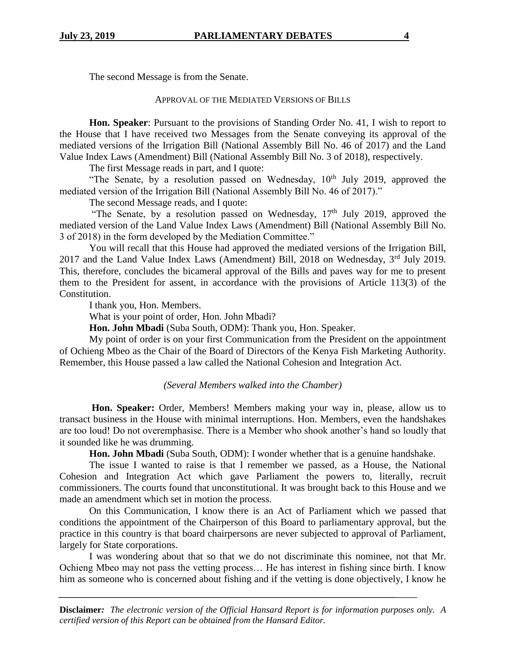The second Message is from the Senate.

## APPROVAL OF THE MEDIATED VERSIONS OF BILLS

**Hon. Speaker**: Pursuant to the provisions of Standing Order No. 41, I wish to report to the House that I have received two Messages from the Senate conveying its approval of the mediated versions of the Irrigation Bill (National Assembly Bill No. 46 of 2017) and the Land Value Index Laws (Amendment) Bill (National Assembly Bill No. 3 of 2018), respectively.

The first Message reads in part, and I quote:

"The Senate, by a resolution passed on Wednesday,  $10<sup>th</sup>$  July 2019, approved the mediated version of the Irrigation Bill (National Assembly Bill No. 46 of 2017)."

The second Message reads, and I quote:

"The Senate, by a resolution passed on Wednesday,  $17<sup>th</sup>$  July 2019, approved the mediated version of the Land Value Index Laws (Amendment) Bill (National Assembly Bill No. 3 of 2018) in the form developed by the Mediation Committee."

You will recall that this House had approved the mediated versions of the Irrigation Bill, 2017 and the Land Value Index Laws (Amendment) Bill, 2018 on Wednesday, 3rd July 2019. This, therefore, concludes the bicameral approval of the Bills and paves way for me to present them to the President for assent, in accordance with the provisions of Article 113(3) of the Constitution.

I thank you, Hon. Members.

What is your point of order, Hon. John Mbadi?

**Hon. John Mbadi** (Suba South, ODM): Thank you, Hon. Speaker.

My point of order is on your first Communication from the President on the appointment of Ochieng Mbeo as the Chair of the Board of Directors of the Kenya Fish Marketing Authority. Remember, this House passed a law called the National Cohesion and Integration Act.

*(Several Members walked into the Chamber)*

**Hon. Speaker:** Order, Members! Members making your way in, please, allow us to transact business in the House with minimal interruptions. Hon. Members, even the handshakes are too loud! Do not overemphasise. There is a Member who shook another's hand so loudly that it sounded like he was drumming.

**Hon. John Mbadi** (Suba South, ODM): I wonder whether that is a genuine handshake.

The issue I wanted to raise is that I remember we passed, as a House, the National Cohesion and Integration Act which gave Parliament the powers to, literally, recruit commissioners. The courts found that unconstitutional. It was brought back to this House and we made an amendment which set in motion the process.

On this Communication, I know there is an Act of Parliament which we passed that conditions the appointment of the Chairperson of this Board to parliamentary approval, but the practice in this country is that board chairpersons are never subjected to approval of Parliament, largely for State corporations.

I was wondering about that so that we do not discriminate this nominee, not that Mr. Ochieng Mbeo may not pass the vetting process… He has interest in fishing since birth. I know him as someone who is concerned about fishing and if the vetting is done objectively, I know he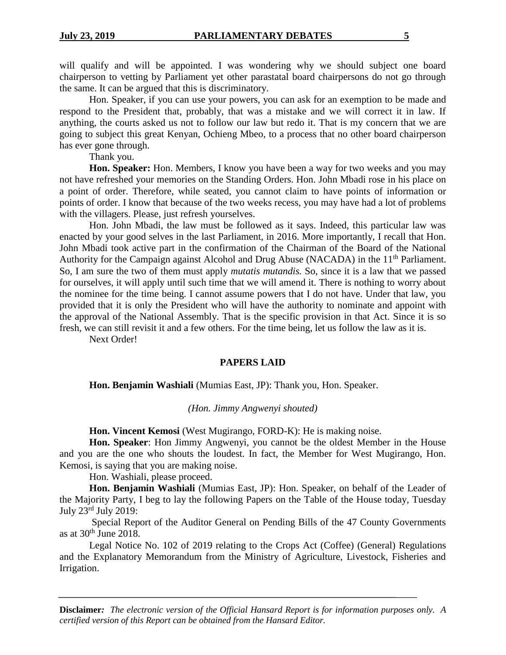will qualify and will be appointed. I was wondering why we should subject one board chairperson to vetting by Parliament yet other parastatal board chairpersons do not go through the same. It can be argued that this is discriminatory.

Hon. Speaker, if you can use your powers, you can ask for an exemption to be made and respond to the President that, probably, that was a mistake and we will correct it in law. If anything, the courts asked us not to follow our law but redo it. That is my concern that we are going to subject this great Kenyan, Ochieng Mbeo, to a process that no other board chairperson has ever gone through.

Thank you.

**Hon. Speaker:** Hon. Members, I know you have been a way for two weeks and you may not have refreshed your memories on the Standing Orders. Hon. John Mbadi rose in his place on a point of order. Therefore, while seated, you cannot claim to have points of information or points of order. I know that because of the two weeks recess, you may have had a lot of problems with the villagers. Please, just refresh yourselves.

Hon. John Mbadi, the law must be followed as it says. Indeed, this particular law was enacted by your good selves in the last Parliament, in 2016. More importantly, I recall that Hon. John Mbadi took active part in the confirmation of the Chairman of the Board of the National Authority for the Campaign against Alcohol and Drug Abuse (NACADA) in the 11<sup>th</sup> Parliament. So, I am sure the two of them must apply *mutatis mutandis.* So, since it is a law that we passed for ourselves, it will apply until such time that we will amend it. There is nothing to worry about the nominee for the time being. I cannot assume powers that I do not have. Under that law, you provided that it is only the President who will have the authority to nominate and appoint with the approval of the National Assembly. That is the specific provision in that Act. Since it is so fresh, we can still revisit it and a few others. For the time being, let us follow the law as it is.

Next Order!

#### **PAPERS LAID**

**Hon. Benjamin Washiali** (Mumias East, JP): Thank you, Hon. Speaker.

*(Hon. Jimmy Angwenyi shouted)*

**Hon. Vincent Kemosi** (West Mugirango, FORD-K): He is making noise.

**Hon. Speaker**: Hon Jimmy Angwenyi, you cannot be the oldest Member in the House and you are the one who shouts the loudest. In fact, the Member for West Mugirango, Hon. Kemosi, is saying that you are making noise.

Hon. Washiali, please proceed.

**Hon. Benjamin Washiali** (Mumias East, JP): Hon. Speaker, on behalf of the Leader of the Majority Party, I beg to lay the following Papers on the Table of the House today, Tuesday July 23rd July 2019:

Special Report of the Auditor General on Pending Bills of the 47 County Governments as at  $30<sup>th</sup>$  June 2018.

Legal Notice No. 102 of 2019 relating to the Crops Act (Coffee) (General) Regulations and the Explanatory Memorandum from the Ministry of Agriculture, Livestock, Fisheries and Irrigation.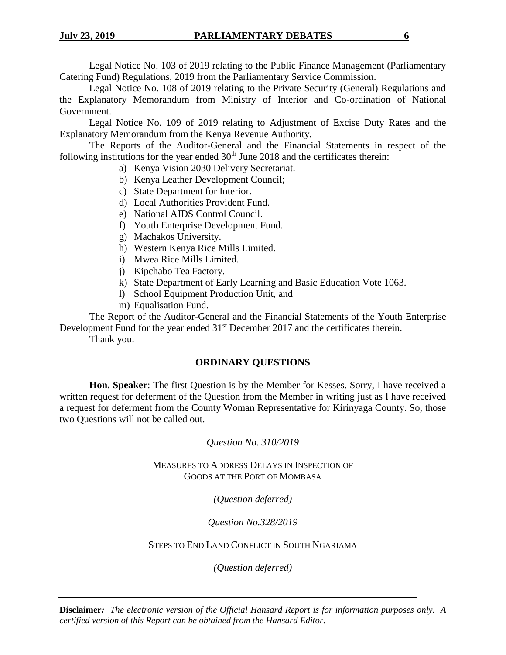Legal Notice No. 103 of 2019 relating to the Public Finance Management (Parliamentary Catering Fund) Regulations, 2019 from the Parliamentary Service Commission.

Legal Notice No. 108 of 2019 relating to the Private Security (General) Regulations and the Explanatory Memorandum from Ministry of Interior and Co-ordination of National Government.

Legal Notice No. 109 of 2019 relating to Adjustment of Excise Duty Rates and the Explanatory Memorandum from the Kenya Revenue Authority.

The Reports of the Auditor-General and the Financial Statements in respect of the following institutions for the year ended  $30<sup>th</sup>$  June 2018 and the certificates therein:

- a) Kenya Vision 2030 Delivery Secretariat.
- b) Kenya Leather Development Council;
- c) State Department for Interior.
- d) Local Authorities Provident Fund.
- e) National AIDS Control Council.
- f) Youth Enterprise Development Fund.
- g) Machakos University.
- h) Western Kenya Rice Mills Limited.
- i) Mwea Rice Mills Limited.
- j) Kipchabo Tea Factory.
- k) State Department of Early Learning and Basic Education Vote 1063.
- l) School Equipment Production Unit, and
- m) Equalisation Fund.

The Report of the Auditor-General and the Financial Statements of the Youth Enterprise Development Fund for the year ended 31<sup>st</sup> December 2017 and the certificates therein.

Thank you.

## **ORDINARY QUESTIONS**

**Hon. Speaker**: The first Question is by the Member for Kesses. Sorry, I have received a written request for deferment of the Question from the Member in writing just as I have received a request for deferment from the County Woman Representative for Kirinyaga County. So, those two Questions will not be called out.

## *Question No. 310/2019*

MEASURES TO ADDRESS DELAYS IN INSPECTION OF GOODS AT THE PORT OF MOMBASA

*(Question deferred)*

*Question No.328/2019*

STEPS TO END LAND CONFLICT IN SOUTH NGARIAMA

*(Question deferred)*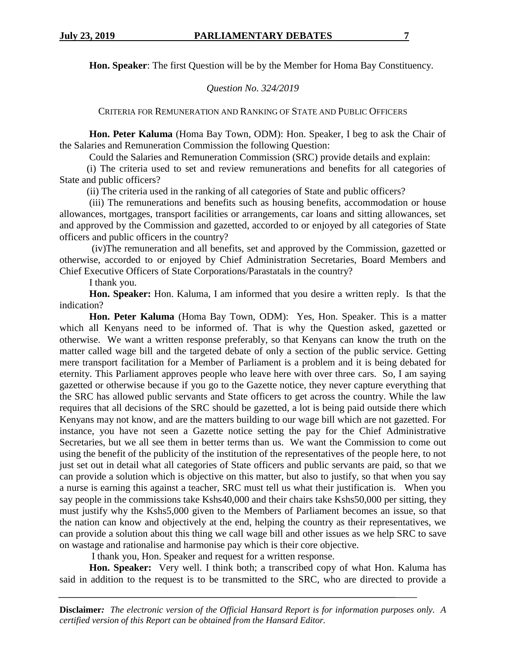**Hon. Speaker**: The first Question will be by the Member for Homa Bay Constituency.

*Question No. 324/2019*

CRITERIA FOR REMUNERATION AND RANKING OF STATE AND PUBLIC OFFICERS

**Hon. Peter Kaluma** (Homa Bay Town, ODM): Hon. Speaker, I beg to ask the Chair of the Salaries and Remuneration Commission the following Question:

Could the Salaries and Remuneration Commission (SRC) provide details and explain:

 (i) The criteria used to set and review remunerations and benefits for all categories of State and public officers?

(ii) The criteria used in the ranking of all categories of State and public officers?

 (iii) The remunerations and benefits such as housing benefits, accommodation or house allowances, mortgages, transport facilities or arrangements, car loans and sitting allowances, set and approved by the Commission and gazetted, accorded to or enjoyed by all categories of State officers and public officers in the country?

(iv)The remuneration and all benefits, set and approved by the Commission, gazetted or otherwise, accorded to or enjoyed by Chief Administration Secretaries, Board Members and Chief Executive Officers of State Corporations/Parastatals in the country?

I thank you.

**Hon. Speaker:** Hon. Kaluma, I am informed that you desire a written reply. Is that the indication?

**Hon. Peter Kaluma** (Homa Bay Town, ODM): Yes, Hon. Speaker. This is a matter which all Kenyans need to be informed of. That is why the Question asked, gazetted or otherwise. We want a written response preferably, so that Kenyans can know the truth on the matter called wage bill and the targeted debate of only a section of the public service. Getting mere transport facilitation for a Member of Parliament is a problem and it is being debated for eternity. This Parliament approves people who leave here with over three cars. So, I am saying gazetted or otherwise because if you go to the Gazette notice, they never capture everything that the SRC has allowed public servants and State officers to get across the country. While the law requires that all decisions of the SRC should be gazetted, a lot is being paid outside there which Kenyans may not know, and are the matters building to our wage bill which are not gazetted. For instance, you have not seen a Gazette notice setting the pay for the Chief Administrative Secretaries, but we all see them in better terms than us. We want the Commission to come out using the benefit of the publicity of the institution of the representatives of the people here, to not just set out in detail what all categories of State officers and public servants are paid, so that we can provide a solution which is objective on this matter, but also to justify, so that when you say a nurse is earning this against a teacher, SRC must tell us what their justification is. When you say people in the commissions take Kshs40,000 and their chairs take Kshs50,000 per sitting, they must justify why the Kshs5,000 given to the Members of Parliament becomes an issue, so that the nation can know and objectively at the end, helping the country as their representatives, we can provide a solution about this thing we call wage bill and other issues as we help SRC to save on wastage and rationalise and harmonise pay which is their core objective.

I thank you, Hon. Speaker and request for a written response.

**Hon. Speaker:** Very well. I think both; a transcribed copy of what Hon. Kaluma has said in addition to the request is to be transmitted to the SRC, who are directed to provide a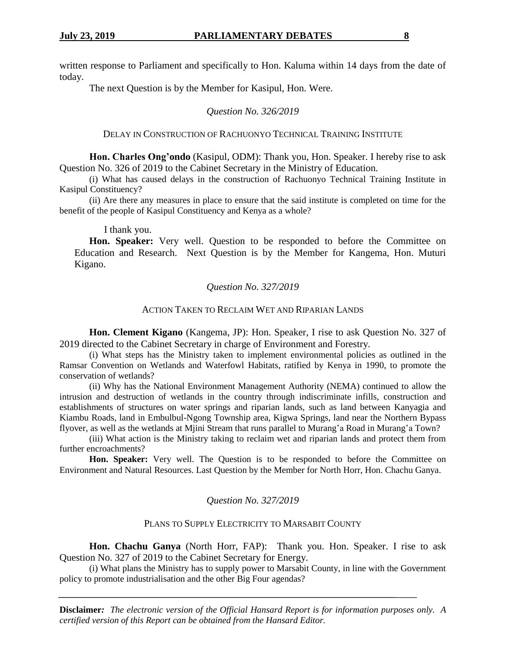written response to Parliament and specifically to Hon. Kaluma within 14 days from the date of today.

The next Question is by the Member for Kasipul, Hon. Were.

## *Question No. 326/2019*

#### DELAY IN CONSTRUCTION OF RACHUONYO TECHNICAL TRAINING INSTITUTE

**Hon. Charles Ong'ondo** (Kasipul, ODM): Thank you, Hon. Speaker. I hereby rise to ask Question No. 326 of 2019 to the Cabinet Secretary in the Ministry of Education.

(i) What has caused delays in the construction of Rachuonyo Technical Training Institute in Kasipul Constituency?

(ii) Are there any measures in place to ensure that the said institute is completed on time for the benefit of the people of Kasipul Constituency and Kenya as a whole?

I thank you.

Hon. Speaker: Very well. Question to be responded to before the Committee on Education and Research. Next Question is by the Member for Kangema, Hon. Muturi Kigano.

## *Question No. 327/2019*

## ACTION TAKEN TO RECLAIM WET AND RIPARIAN LANDS

**Hon. Clement Kigano** (Kangema, JP): Hon. Speaker, I rise to ask Question No. 327 of 2019 directed to the Cabinet Secretary in charge of Environment and Forestry.

(i) What steps has the Ministry taken to implement environmental policies as outlined in the Ramsar Convention on Wetlands and Waterfowl Habitats, ratified by Kenya in 1990, to promote the conservation of wetlands?

(ii) Why has the National Environment Management Authority (NEMA) continued to allow the intrusion and destruction of wetlands in the country through indiscriminate infills, construction and establishments of structures on water springs and riparian lands, such as land between Kanyagia and Kiambu Roads, land in Embulbul-Ngong Township area, Kigwa Springs, land near the Northern Bypass flyover, as well as the wetlands at Mjini Stream that runs parallel to Murang'a Road in Murang'a Town?

(iii) What action is the Ministry taking to reclaim wet and riparian lands and protect them from further encroachments?

**Hon. Speaker:** Very well. The Question is to be responded to before the Committee on Environment and Natural Resources. Last Question by the Member for North Horr, Hon. Chachu Ganya.

## *Question No. 327/2019*

## PLANS TO SUPPLY ELECTRICITY TO MARSABIT COUNTY

**Hon. Chachu Ganya** (North Horr, FAP): Thank you. Hon. Speaker. I rise to ask Question No. 327 of 2019 to the Cabinet Secretary for Energy.

(i) What plans the Ministry has to supply power to Marsabit County, in line with the Government policy to promote industrialisation and the other Big Four agendas?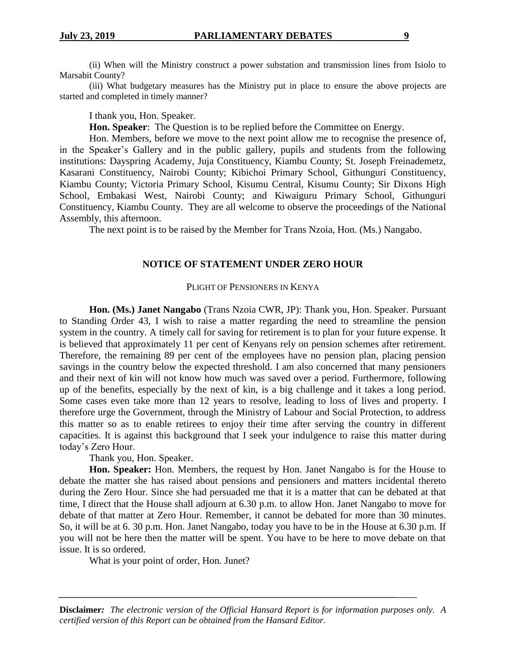(ii) When will the Ministry construct a power substation and transmission lines from Isiolo to Marsabit County?

(iii) What budgetary measures has the Ministry put in place to ensure the above projects are started and completed in timely manner?

I thank you, Hon. Speaker.

**Hon. Speaker**: The Question is to be replied before the Committee on Energy.

Hon. Members, before we move to the next point allow me to recognise the presence of, in the Speaker's Gallery and in the public gallery, pupils and students from the following institutions: Dayspring Academy, Juja Constituency, Kiambu County; St. Joseph Freinademetz, Kasarani Constituency, Nairobi County; Kibichoi Primary School, Githunguri Constituency, Kiambu County; Victoria Primary School, Kisumu Central, Kisumu County; Sir Dixons High School, Embakasi West, Nairobi County; and Kiwaiguru Primary School, Githunguri Constituency, Kiambu County. They are all welcome to observe the proceedings of the National Assembly, this afternoon.

The next point is to be raised by the Member for Trans Nzoia, Hon. (Ms.) Nangabo.

#### **NOTICE OF STATEMENT UNDER ZERO HOUR**

### PLIGHT OF PENSIONERS IN KENYA

**Hon. (Ms.) Janet Nangabo** (Trans Nzoia CWR, JP): Thank you, Hon. Speaker. Pursuant to Standing Order 43, I wish to raise a matter regarding the need to streamline the pension system in the country. A timely call for saving for retirement is to plan for your future expense. It is believed that approximately 11 per cent of Kenyans rely on pension schemes after retirement. Therefore, the remaining 89 per cent of the employees have no pension plan, placing pension savings in the country below the expected threshold. I am also concerned that many pensioners and their next of kin will not know how much was saved over a period. Furthermore, following up of the benefits, especially by the next of kin, is a big challenge and it takes a long period. Some cases even take more than 12 years to resolve, leading to loss of lives and property. I therefore urge the Government, through the Ministry of Labour and Social Protection, to address this matter so as to enable retirees to enjoy their time after serving the country in different capacities. It is against this background that I seek your indulgence to raise this matter during today's Zero Hour.

Thank you, Hon. Speaker.

**Hon. Speaker:** Hon. Members, the request by Hon. Janet Nangabo is for the House to debate the matter she has raised about pensions and pensioners and matters incidental thereto during the Zero Hour. Since she had persuaded me that it is a matter that can be debated at that time, I direct that the House shall adjourn at 6.30 p.m. to allow Hon. Janet Nangabo to move for debate of that matter at Zero Hour. Remember, it cannot be debated for more than 30 minutes. So, it will be at 6. 30 p.m. Hon. Janet Nangabo, today you have to be in the House at 6.30 p.m. If you will not be here then the matter will be spent. You have to be here to move debate on that issue. It is so ordered.

What is your point of order, Hon. Junet?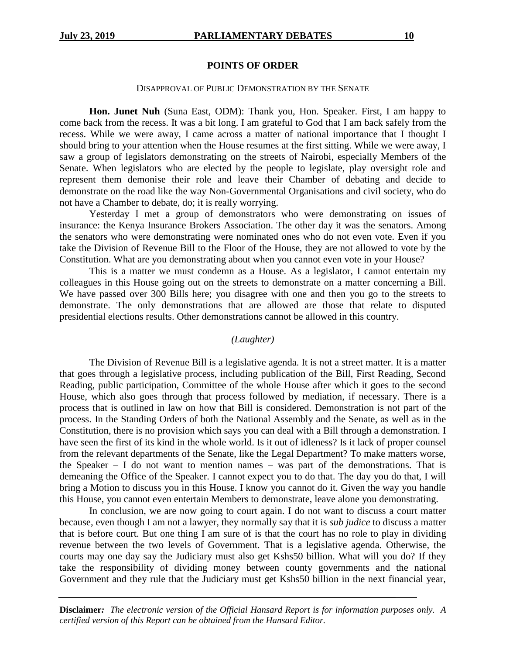#### **POINTS OF ORDER**

#### DISAPPROVAL OF PUBLIC DEMONSTRATION BY THE SENATE

**Hon. Junet Nuh** (Suna East, ODM): Thank you, Hon. Speaker. First, I am happy to come back from the recess. It was a bit long. I am grateful to God that I am back safely from the recess. While we were away, I came across a matter of national importance that I thought I should bring to your attention when the House resumes at the first sitting. While we were away, I saw a group of legislators demonstrating on the streets of Nairobi, especially Members of the Senate. When legislators who are elected by the people to legislate, play oversight role and represent them demonise their role and leave their Chamber of debating and decide to demonstrate on the road like the way Non-Governmental Organisations and civil society, who do not have a Chamber to debate, do; it is really worrying.

Yesterday I met a group of demonstrators who were demonstrating on issues of insurance: the Kenya Insurance Brokers Association. The other day it was the senators. Among the senators who were demonstrating were nominated ones who do not even vote. Even if you take the Division of Revenue Bill to the Floor of the House, they are not allowed to vote by the Constitution. What are you demonstrating about when you cannot even vote in your House?

This is a matter we must condemn as a House. As a legislator, I cannot entertain my colleagues in this House going out on the streets to demonstrate on a matter concerning a Bill. We have passed over 300 Bills here; you disagree with one and then you go to the streets to demonstrate. The only demonstrations that are allowed are those that relate to disputed presidential elections results. Other demonstrations cannot be allowed in this country.

#### *(Laughter)*

The Division of Revenue Bill is a legislative agenda. It is not a street matter. It is a matter that goes through a legislative process, including publication of the Bill, First Reading, Second Reading, public participation, Committee of the whole House after which it goes to the second House, which also goes through that process followed by mediation, if necessary. There is a process that is outlined in law on how that Bill is considered. Demonstration is not part of the process. In the Standing Orders of both the National Assembly and the Senate, as well as in the Constitution, there is no provision which says you can deal with a Bill through a demonstration. I have seen the first of its kind in the whole world. Is it out of idleness? Is it lack of proper counsel from the relevant departments of the Senate, like the Legal Department? To make matters worse, the Speaker – I do not want to mention names – was part of the demonstrations. That is demeaning the Office of the Speaker. I cannot expect you to do that. The day you do that, I will bring a Motion to discuss you in this House. I know you cannot do it. Given the way you handle this House, you cannot even entertain Members to demonstrate, leave alone you demonstrating.

In conclusion, we are now going to court again. I do not want to discuss a court matter because, even though I am not a lawyer, they normally say that it is *sub judice* to discuss a matter that is before court. But one thing I am sure of is that the court has no role to play in dividing revenue between the two levels of Government. That is a legislative agenda. Otherwise, the courts may one day say the Judiciary must also get Kshs50 billion. What will you do? If they take the responsibility of dividing money between county governments and the national Government and they rule that the Judiciary must get Kshs50 billion in the next financial year,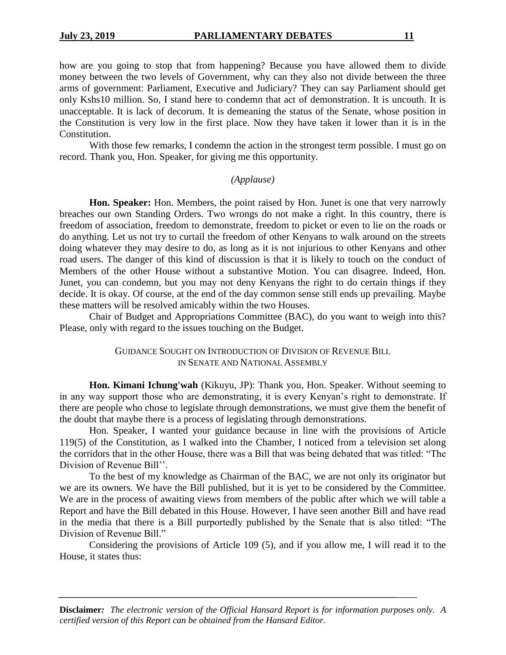how are you going to stop that from happening? Because you have allowed them to divide money between the two levels of Government, why can they also not divide between the three arms of government: Parliament, Executive and Judiciary? They can say Parliament should get only Kshs10 million. So, I stand here to condemn that act of demonstration. It is uncouth. It is unacceptable. It is lack of decorum. It is demeaning the status of the Senate, whose position in the Constitution is very low in the first place. Now they have taken it lower than it is in the Constitution.

With those few remarks, I condemn the action in the strongest term possible. I must go on record. Thank you, Hon. Speaker, for giving me this opportunity.

#### *(Applause)*

**Hon. Speaker:** Hon. Members, the point raised by Hon. Junet is one that very narrowly breaches our own Standing Orders. Two wrongs do not make a right. In this country, there is freedom of association, freedom to demonstrate, freedom to picket or even to lie on the roads or do anything. Let us not try to curtail the freedom of other Kenyans to walk around on the streets doing whatever they may desire to do, as long as it is not injurious to other Kenyans and other road users. The danger of this kind of discussion is that it is likely to touch on the conduct of Members of the other House without a substantive Motion. You can disagree. Indeed, Hon. Junet, you can condemn, but you may not deny Kenyans the right to do certain things if they decide. It is okay. Of course, at the end of the day common sense still ends up prevailing. Maybe these matters will be resolved amicably within the two Houses.

Chair of Budget and Appropriations Committee (BAC), do you want to weigh into this? Please, only with regard to the issues touching on the Budget.

> GUIDANCE SOUGHT ON INTRODUCTION OF DIVISION OF REVENUE BILL IN SENATE AND NATIONAL ASSEMBLY

**Hon. Kimani Ichung'wah** (Kikuyu, JP): Thank you, Hon. Speaker. Without seeming to in any way support those who are demonstrating, it is every Kenyan's right to demonstrate. If there are people who chose to legislate through demonstrations, we must give them the benefit of the doubt that maybe there is a process of legislating through demonstrations.

Hon. Speaker, I wanted your guidance because in line with the provisions of Article 119(5) of the Constitution, as I walked into the Chamber, I noticed from a television set along the corridors that in the other House, there was a Bill that was being debated that was titled: "The Division of Revenue Bill''.

To the best of my knowledge as Chairman of the BAC, we are not only its originator but we are its owners. We have the Bill published, but it is yet to be considered by the Committee. We are in the process of awaiting views from members of the public after which we will table a Report and have the Bill debated in this House. However, I have seen another Bill and have read in the media that there is a Bill purportedly published by the Senate that is also titled: "The Division of Revenue Bill."

Considering the provisions of Article 109 (5), and if you allow me, I will read it to the House, it states thus: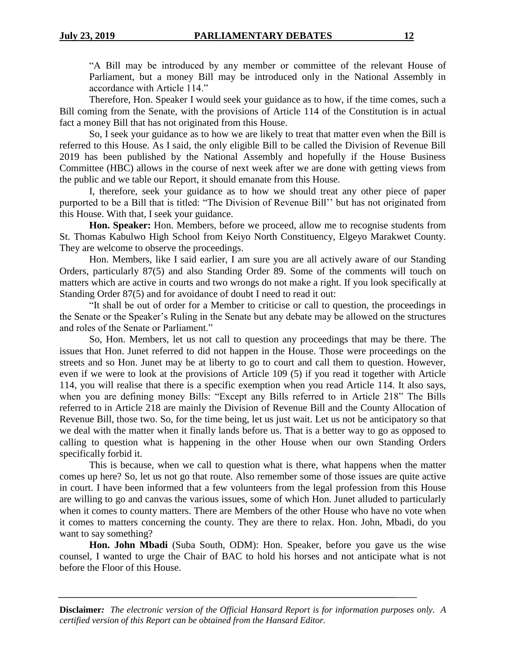"A Bill may be introduced by any member or committee of the relevant House of Parliament, but a money Bill may be introduced only in the National Assembly in accordance with Article 114."

Therefore, Hon. Speaker I would seek your guidance as to how, if the time comes, such a Bill coming from the Senate, with the provisions of Article 114 of the Constitution is in actual fact a money Bill that has not originated from this House.

So, I seek your guidance as to how we are likely to treat that matter even when the Bill is referred to this House. As I said, the only eligible Bill to be called the Division of Revenue Bill 2019 has been published by the National Assembly and hopefully if the House Business Committee (HBC) allows in the course of next week after we are done with getting views from the public and we table our Report, it should emanate from this House.

I, therefore, seek your guidance as to how we should treat any other piece of paper purported to be a Bill that is titled: "The Division of Revenue Bill'' but has not originated from this House. With that, I seek your guidance.

**Hon. Speaker:** Hon. Members, before we proceed, allow me to recognise students from St. Thomas Kabulwo High School from Keiyo North Constituency, Elgeyo Marakwet County. They are welcome to observe the proceedings.

Hon. Members, like I said earlier, I am sure you are all actively aware of our Standing Orders, particularly 87(5) and also Standing Order 89. Some of the comments will touch on matters which are active in courts and two wrongs do not make a right. If you look specifically at Standing Order 87(5) and for avoidance of doubt I need to read it out:

"It shall be out of order for a Member to criticise or call to question, the proceedings in the Senate or the Speaker's Ruling in the Senate but any debate may be allowed on the structures and roles of the Senate or Parliament."

So, Hon. Members, let us not call to question any proceedings that may be there. The issues that Hon. Junet referred to did not happen in the House. Those were proceedings on the streets and so Hon. Junet may be at liberty to go to court and call them to question. However, even if we were to look at the provisions of Article 109 (5) if you read it together with Article 114, you will realise that there is a specific exemption when you read Article 114. It also says, when you are defining money Bills: "Except any Bills referred to in Article 218" The Bills referred to in Article 218 are mainly the Division of Revenue Bill and the County Allocation of Revenue Bill, those two. So, for the time being, let us just wait. Let us not be anticipatory so that we deal with the matter when it finally lands before us. That is a better way to go as opposed to calling to question what is happening in the other House when our own Standing Orders specifically forbid it.

This is because, when we call to question what is there, what happens when the matter comes up here? So, let us not go that route. Also remember some of those issues are quite active in court. I have been informed that a few volunteers from the legal profession from this House are willing to go and canvas the various issues, some of which Hon. Junet alluded to particularly when it comes to county matters. There are Members of the other House who have no vote when it comes to matters concerning the county. They are there to relax. Hon. John, Mbadi, do you want to say something?

**Hon. John Mbadi** (Suba South, ODM): Hon. Speaker, before you gave us the wise counsel, I wanted to urge the Chair of BAC to hold his horses and not anticipate what is not before the Floor of this House.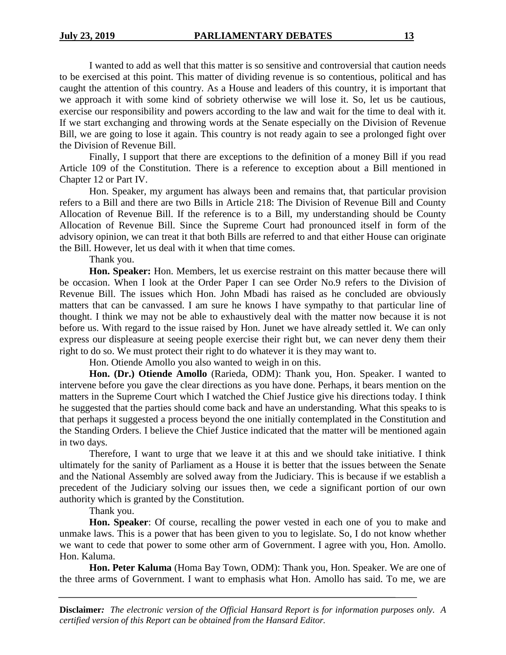I wanted to add as well that this matter is so sensitive and controversial that caution needs to be exercised at this point. This matter of dividing revenue is so contentious, political and has caught the attention of this country. As a House and leaders of this country, it is important that we approach it with some kind of sobriety otherwise we will lose it. So, let us be cautious, exercise our responsibility and powers according to the law and wait for the time to deal with it. If we start exchanging and throwing words at the Senate especially on the Division of Revenue Bill, we are going to lose it again. This country is not ready again to see a prolonged fight over the Division of Revenue Bill.

Finally, I support that there are exceptions to the definition of a money Bill if you read Article 109 of the Constitution. There is a reference to exception about a Bill mentioned in Chapter 12 or Part IV.

Hon. Speaker, my argument has always been and remains that, that particular provision refers to a Bill and there are two Bills in Article 218: The Division of Revenue Bill and County Allocation of Revenue Bill. If the reference is to a Bill, my understanding should be County Allocation of Revenue Bill. Since the Supreme Court had pronounced itself in form of the advisory opinion, we can treat it that both Bills are referred to and that either House can originate the Bill. However, let us deal with it when that time comes.

Thank you.

**Hon. Speaker:** Hon. Members, let us exercise restraint on this matter because there will be occasion. When I look at the Order Paper I can see Order No.9 refers to the Division of Revenue Bill. The issues which Hon. John Mbadi has raised as he concluded are obviously matters that can be canvassed. I am sure he knows I have sympathy to that particular line of thought. I think we may not be able to exhaustively deal with the matter now because it is not before us. With regard to the issue raised by Hon. Junet we have already settled it. We can only express our displeasure at seeing people exercise their right but, we can never deny them their right to do so. We must protect their right to do whatever it is they may want to.

Hon. Otiende Amollo you also wanted to weigh in on this.

**Hon. (Dr.) Otiende Amollo** (Rarieda, ODM): Thank you, Hon. Speaker. I wanted to intervene before you gave the clear directions as you have done. Perhaps, it bears mention on the matters in the Supreme Court which I watched the Chief Justice give his directions today. I think he suggested that the parties should come back and have an understanding. What this speaks to is that perhaps it suggested a process beyond the one initially contemplated in the Constitution and the Standing Orders. I believe the Chief Justice indicated that the matter will be mentioned again in two days.

Therefore, I want to urge that we leave it at this and we should take initiative. I think ultimately for the sanity of Parliament as a House it is better that the issues between the Senate and the National Assembly are solved away from the Judiciary. This is because if we establish a precedent of the Judiciary solving our issues then, we cede a significant portion of our own authority which is granted by the Constitution.

Thank you.

**Hon. Speaker**: Of course, recalling the power vested in each one of you to make and unmake laws. This is a power that has been given to you to legislate. So, I do not know whether we want to cede that power to some other arm of Government. I agree with you, Hon. Amollo. Hon. Kaluma.

**Hon. Peter Kaluma** (Homa Bay Town, ODM): Thank you, Hon. Speaker. We are one of the three arms of Government. I want to emphasis what Hon. Amollo has said. To me, we are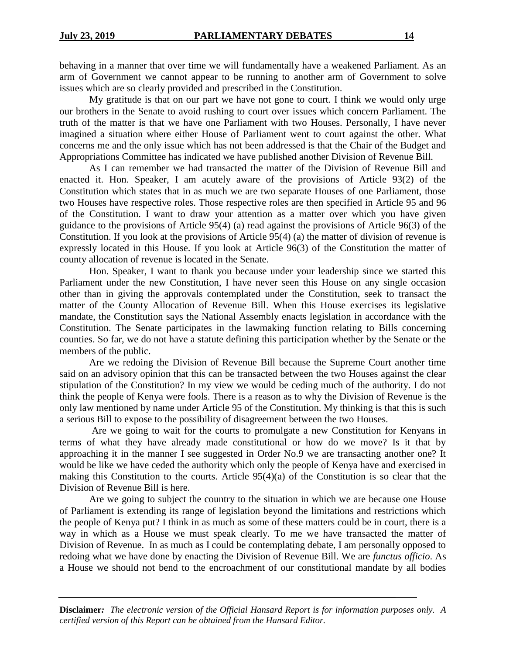behaving in a manner that over time we will fundamentally have a weakened Parliament. As an arm of Government we cannot appear to be running to another arm of Government to solve issues which are so clearly provided and prescribed in the Constitution.

My gratitude is that on our part we have not gone to court. I think we would only urge our brothers in the Senate to avoid rushing to court over issues which concern Parliament. The truth of the matter is that we have one Parliament with two Houses. Personally, I have never imagined a situation where either House of Parliament went to court against the other. What concerns me and the only issue which has not been addressed is that the Chair of the Budget and Appropriations Committee has indicated we have published another Division of Revenue Bill.

As I can remember we had transacted the matter of the Division of Revenue Bill and enacted it. Hon. Speaker, I am acutely aware of the provisions of Article 93(2) of the Constitution which states that in as much we are two separate Houses of one Parliament, those two Houses have respective roles. Those respective roles are then specified in Article 95 and 96 of the Constitution. I want to draw your attention as a matter over which you have given guidance to the provisions of Article 95(4) (a) read against the provisions of Article 96(3) of the Constitution. If you look at the provisions of Article 95(4) (a) the matter of division of revenue is expressly located in this House. If you look at Article 96(3) of the Constitution the matter of county allocation of revenue is located in the Senate.

Hon. Speaker, I want to thank you because under your leadership since we started this Parliament under the new Constitution, I have never seen this House on any single occasion other than in giving the approvals contemplated under the Constitution, seek to transact the matter of the County Allocation of Revenue Bill. When this House exercises its legislative mandate, the Constitution says the National Assembly enacts legislation in accordance with the Constitution. The Senate participates in the lawmaking function relating to Bills concerning counties. So far, we do not have a statute defining this participation whether by the Senate or the members of the public.

Are we redoing the Division of Revenue Bill because the Supreme Court another time said on an advisory opinion that this can be transacted between the two Houses against the clear stipulation of the Constitution? In my view we would be ceding much of the authority. I do not think the people of Kenya were fools. There is a reason as to why the Division of Revenue is the only law mentioned by name under Article 95 of the Constitution. My thinking is that this is such a serious Bill to expose to the possibility of disagreement between the two Houses.

Are we going to wait for the courts to promulgate a new Constitution for Kenyans in terms of what they have already made constitutional or how do we move? Is it that by approaching it in the manner I see suggested in Order No.9 we are transacting another one? It would be like we have ceded the authority which only the people of Kenya have and exercised in making this Constitution to the courts. Article 95(4)(a) of the Constitution is so clear that the Division of Revenue Bill is here.

Are we going to subject the country to the situation in which we are because one House of Parliament is extending its range of legislation beyond the limitations and restrictions which the people of Kenya put? I think in as much as some of these matters could be in court, there is a way in which as a House we must speak clearly. To me we have transacted the matter of Division of Revenue. In as much as I could be contemplating debate, I am personally opposed to redoing what we have done by enacting the Division of Revenue Bill. We are *functus officio*. As a House we should not bend to the encroachment of our constitutional mandate by all bodies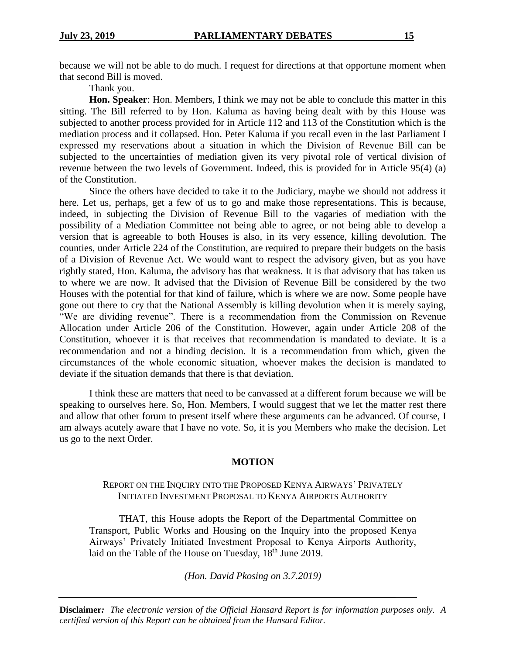because we will not be able to do much. I request for directions at that opportune moment when that second Bill is moved.

Thank you.

**Hon. Speaker**: Hon. Members, I think we may not be able to conclude this matter in this sitting. The Bill referred to by Hon. Kaluma as having being dealt with by this House was subjected to another process provided for in Article 112 and 113 of the Constitution which is the mediation process and it collapsed. Hon. Peter Kaluma if you recall even in the last Parliament I expressed my reservations about a situation in which the Division of Revenue Bill can be subjected to the uncertainties of mediation given its very pivotal role of vertical division of revenue between the two levels of Government. Indeed, this is provided for in Article 95(4) (a) of the Constitution.

Since the others have decided to take it to the Judiciary, maybe we should not address it here. Let us, perhaps, get a few of us to go and make those representations. This is because, indeed, in subjecting the Division of Revenue Bill to the vagaries of mediation with the possibility of a Mediation Committee not being able to agree, or not being able to develop a version that is agreeable to both Houses is also, in its very essence, killing devolution. The counties, under Article 224 of the Constitution, are required to prepare their budgets on the basis of a Division of Revenue Act. We would want to respect the advisory given, but as you have rightly stated, Hon. Kaluma, the advisory has that weakness. It is that advisory that has taken us to where we are now. It advised that the Division of Revenue Bill be considered by the two Houses with the potential for that kind of failure, which is where we are now. Some people have gone out there to cry that the National Assembly is killing devolution when it is merely saying, "We are dividing revenue". There is a recommendation from the Commission on Revenue Allocation under Article 206 of the Constitution. However, again under Article 208 of the Constitution, whoever it is that receives that recommendation is mandated to deviate. It is a recommendation and not a binding decision. It is a recommendation from which, given the circumstances of the whole economic situation, whoever makes the decision is mandated to deviate if the situation demands that there is that deviation.

I think these are matters that need to be canvassed at a different forum because we will be speaking to ourselves here. So, Hon. Members, I would suggest that we let the matter rest there and allow that other forum to present itself where these arguments can be advanced. Of course, I am always acutely aware that I have no vote. So, it is you Members who make the decision. Let us go to the next Order.

#### **MOTION**

## REPORT ON THE INQUIRY INTO THE PROPOSED KENYA AIRWAYS' PRIVATELY INITIATED INVESTMENT PROPOSAL TO KENYA AIRPORTS AUTHORITY

THAT, this House adopts the Report of the Departmental Committee on Transport, Public Works and Housing on the Inquiry into the proposed Kenya Airways' Privately Initiated Investment Proposal to Kenya Airports Authority, laid on the Table of the House on Tuesday, 18<sup>th</sup> June 2019.

*(Hon. David Pkosing on 3.7.2019)*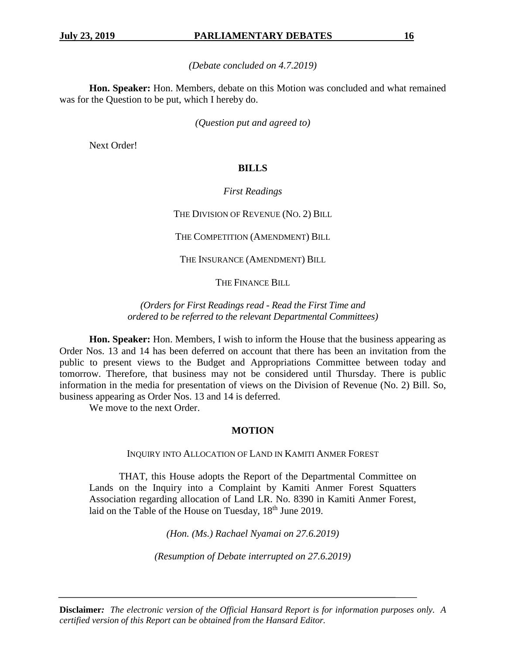*(Debate concluded on 4.7.2019)*

**Hon. Speaker:** Hon. Members, debate on this Motion was concluded and what remained was for the Question to be put, which I hereby do.

*(Question put and agreed to)*

Next Order!

## **BILLS**

## *First Readings*

THE DIVISION OF REVENUE (NO. 2) BILL

THE COMPETITION (AMENDMENT) BILL

THE INSURANCE (AMENDMENT) BILL

THE FINANCE BILL

*(Orders for First Readings read - Read the First Time and ordered to be referred to the relevant Departmental Committees)*

**Hon. Speaker:** Hon. Members, I wish to inform the House that the business appearing as Order Nos. 13 and 14 has been deferred on account that there has been an invitation from the public to present views to the Budget and Appropriations Committee between today and tomorrow. Therefore, that business may not be considered until Thursday. There is public information in the media for presentation of views on the Division of Revenue (No. 2) Bill. So, business appearing as Order Nos. 13 and 14 is deferred.

We move to the next Order.

## **MOTION**

INQUIRY INTO ALLOCATION OF LAND IN KAMITI ANMER FOREST

THAT, this House adopts the Report of the Departmental Committee on Lands on the Inquiry into a Complaint by Kamiti Anmer Forest Squatters Association regarding allocation of Land LR. No. 8390 in Kamiti Anmer Forest, laid on the Table of the House on Tuesday, 18<sup>th</sup> June 2019.

*(Hon. (Ms.) Rachael Nyamai on 27.6.2019)*

*(Resumption of Debate interrupted on 27.6.2019)*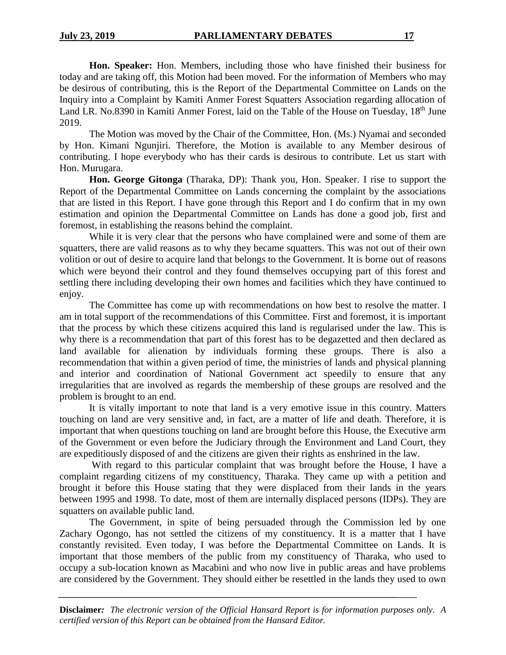**Hon. Speaker:** Hon. Members, including those who have finished their business for today and are taking off, this Motion had been moved. For the information of Members who may be desirous of contributing, this is the Report of the Departmental Committee on Lands on the Inquiry into a Complaint by Kamiti Anmer Forest Squatters Association regarding allocation of Land LR. No.8390 in Kamiti Anmer Forest, laid on the Table of the House on Tuesday, 18<sup>th</sup> June 2019.

The Motion was moved by the Chair of the Committee, Hon. (Ms.) Nyamai and seconded by Hon. Kimani Ngunjiri. Therefore, the Motion is available to any Member desirous of contributing. I hope everybody who has their cards is desirous to contribute. Let us start with Hon. Murugara.

**Hon. George Gitonga** (Tharaka, DP): Thank you, Hon. Speaker. I rise to support the Report of the Departmental Committee on Lands concerning the complaint by the associations that are listed in this Report. I have gone through this Report and I do confirm that in my own estimation and opinion the Departmental Committee on Lands has done a good job, first and foremost, in establishing the reasons behind the complaint.

While it is very clear that the persons who have complained were and some of them are squatters, there are valid reasons as to why they became squatters. This was not out of their own volition or out of desire to acquire land that belongs to the Government. It is borne out of reasons which were beyond their control and they found themselves occupying part of this forest and settling there including developing their own homes and facilities which they have continued to enjoy.

The Committee has come up with recommendations on how best to resolve the matter. I am in total support of the recommendations of this Committee. First and foremost, it is important that the process by which these citizens acquired this land is regularised under the law. This is why there is a recommendation that part of this forest has to be degazetted and then declared as land available for alienation by individuals forming these groups. There is also a recommendation that within a given period of time, the ministries of lands and physical planning and interior and coordination of National Government act speedily to ensure that any irregularities that are involved as regards the membership of these groups are resolved and the problem is brought to an end.

It is vitally important to note that land is a very emotive issue in this country. Matters touching on land are very sensitive and, in fact, are a matter of life and death. Therefore, it is important that when questions touching on land are brought before this House, the Executive arm of the Government or even before the Judiciary through the Environment and Land Court, they are expeditiously disposed of and the citizens are given their rights as enshrined in the law.

With regard to this particular complaint that was brought before the House, I have a complaint regarding citizens of my constituency, Tharaka. They came up with a petition and brought it before this House stating that they were displaced from their lands in the years between 1995 and 1998. To date, most of them are internally displaced persons (IDPs). They are squatters on available public land.

The Government, in spite of being persuaded through the Commission led by one Zachary Ogongo, has not settled the citizens of my constituency. It is a matter that I have constantly revisited. Even today, I was before the Departmental Committee on Lands. It is important that those members of the public from my constituency of Tharaka, who used to occupy a sub-location known as Macabini and who now live in public areas and have problems are considered by the Government. They should either be resettled in the lands they used to own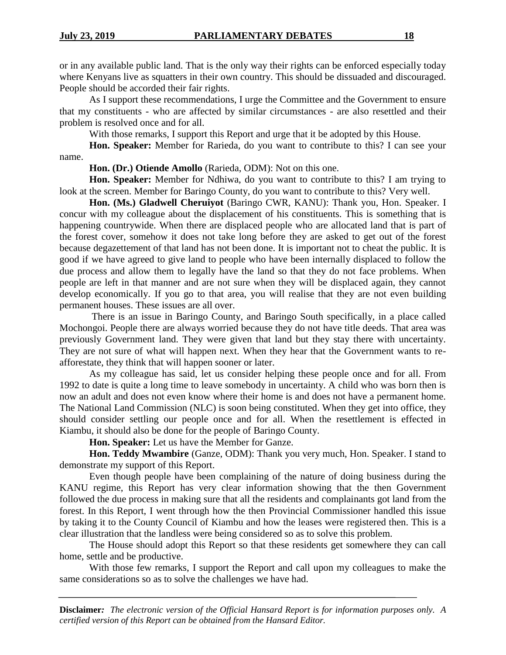or in any available public land. That is the only way their rights can be enforced especially today where Kenyans live as squatters in their own country. This should be dissuaded and discouraged. People should be accorded their fair rights.

As I support these recommendations, I urge the Committee and the Government to ensure that my constituents - who are affected by similar circumstances - are also resettled and their problem is resolved once and for all.

With those remarks, I support this Report and urge that it be adopted by this House.

**Hon. Speaker:** Member for Rarieda, do you want to contribute to this? I can see your name.

**Hon. (Dr.) Otiende Amollo** (Rarieda, ODM): Not on this one.

**Hon. Speaker:** Member for Ndhiwa, do you want to contribute to this? I am trying to look at the screen. Member for Baringo County, do you want to contribute to this? Very well.

Hon. (Ms.) Gladwell Cheruiyot (Baringo CWR, KANU): Thank you, Hon. Speaker. I concur with my colleague about the displacement of his constituents. This is something that is happening countrywide. When there are displaced people who are allocated land that is part of the forest cover, somehow it does not take long before they are asked to get out of the forest because degazettement of that land has not been done. It is important not to cheat the public. It is good if we have agreed to give land to people who have been internally displaced to follow the due process and allow them to legally have the land so that they do not face problems. When people are left in that manner and are not sure when they will be displaced again, they cannot develop economically. If you go to that area, you will realise that they are not even building permanent houses. These issues are all over.

There is an issue in Baringo County, and Baringo South specifically, in a place called Mochongoi. People there are always worried because they do not have title deeds. That area was previously Government land. They were given that land but they stay there with uncertainty. They are not sure of what will happen next. When they hear that the Government wants to reafforestate, they think that will happen sooner or later.

As my colleague has said, let us consider helping these people once and for all. From 1992 to date is quite a long time to leave somebody in uncertainty. A child who was born then is now an adult and does not even know where their home is and does not have a permanent home. The National Land Commission (NLC) is soon being constituted. When they get into office, they should consider settling our people once and for all. When the resettlement is effected in Kiambu, it should also be done for the people of Baringo County.

**Hon. Speaker:** Let us have the Member for Ganze.

**Hon. Teddy Mwambire** (Ganze, ODM): Thank you very much, Hon. Speaker. I stand to demonstrate my support of this Report.

Even though people have been complaining of the nature of doing business during the KANU regime, this Report has very clear information showing that the then Government followed the due process in making sure that all the residents and complainants got land from the forest. In this Report, I went through how the then Provincial Commissioner handled this issue by taking it to the County Council of Kiambu and how the leases were registered then. This is a clear illustration that the landless were being considered so as to solve this problem.

The House should adopt this Report so that these residents get somewhere they can call home, settle and be productive.

With those few remarks, I support the Report and call upon my colleagues to make the same considerations so as to solve the challenges we have had.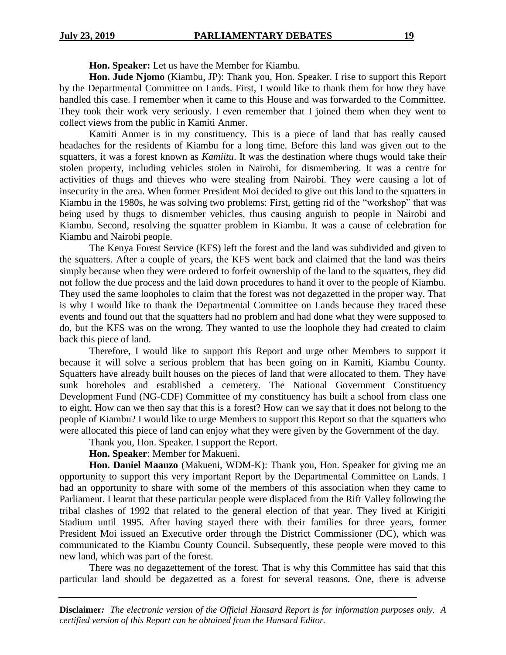**Hon. Speaker:** Let us have the Member for Kiambu.

**Hon. Jude Njomo** (Kiambu, JP): Thank you, Hon. Speaker. I rise to support this Report by the Departmental Committee on Lands. First, I would like to thank them for how they have handled this case. I remember when it came to this House and was forwarded to the Committee. They took their work very seriously. I even remember that I joined them when they went to collect views from the public in Kamiti Anmer.

Kamiti Anmer is in my constituency. This is a piece of land that has really caused headaches for the residents of Kiambu for a long time. Before this land was given out to the squatters, it was a forest known as *Kamiitu*. It was the destination where thugs would take their stolen property, including vehicles stolen in Nairobi, for dismembering. It was a centre for activities of thugs and thieves who were stealing from Nairobi. They were causing a lot of insecurity in the area. When former President Moi decided to give out this land to the squatters in Kiambu in the 1980s, he was solving two problems: First, getting rid of the "workshop" that was being used by thugs to dismember vehicles, thus causing anguish to people in Nairobi and Kiambu. Second, resolving the squatter problem in Kiambu. It was a cause of celebration for Kiambu and Nairobi people.

The Kenya Forest Service (KFS) left the forest and the land was subdivided and given to the squatters. After a couple of years, the KFS went back and claimed that the land was theirs simply because when they were ordered to forfeit ownership of the land to the squatters, they did not follow the due process and the laid down procedures to hand it over to the people of Kiambu. They used the same loopholes to claim that the forest was not degazetted in the proper way. That is why I would like to thank the Departmental Committee on Lands because they traced these events and found out that the squatters had no problem and had done what they were supposed to do, but the KFS was on the wrong. They wanted to use the loophole they had created to claim back this piece of land.

Therefore, I would like to support this Report and urge other Members to support it because it will solve a serious problem that has been going on in Kamiti, Kiambu County. Squatters have already built houses on the pieces of land that were allocated to them. They have sunk boreholes and established a cemetery. The National Government Constituency Development Fund (NG-CDF) Committee of my constituency has built a school from class one to eight. How can we then say that this is a forest? How can we say that it does not belong to the people of Kiambu? I would like to urge Members to support this Report so that the squatters who were allocated this piece of land can enjoy what they were given by the Government of the day.

Thank you, Hon. Speaker. I support the Report.

## **Hon. Speaker**: Member for Makueni.

**Hon. Daniel Maanzo** (Makueni, WDM-K): Thank you, Hon. Speaker for giving me an opportunity to support this very important Report by the Departmental Committee on Lands. I had an opportunity to share with some of the members of this association when they came to Parliament. I learnt that these particular people were displaced from the Rift Valley following the tribal clashes of 1992 that related to the general election of that year. They lived at Kirigiti Stadium until 1995. After having stayed there with their families for three years, former President Moi issued an Executive order through the District Commissioner (DC), which was communicated to the Kiambu County Council. Subsequently, these people were moved to this new land, which was part of the forest.

There was no degazettement of the forest. That is why this Committee has said that this particular land should be degazetted as a forest for several reasons. One, there is adverse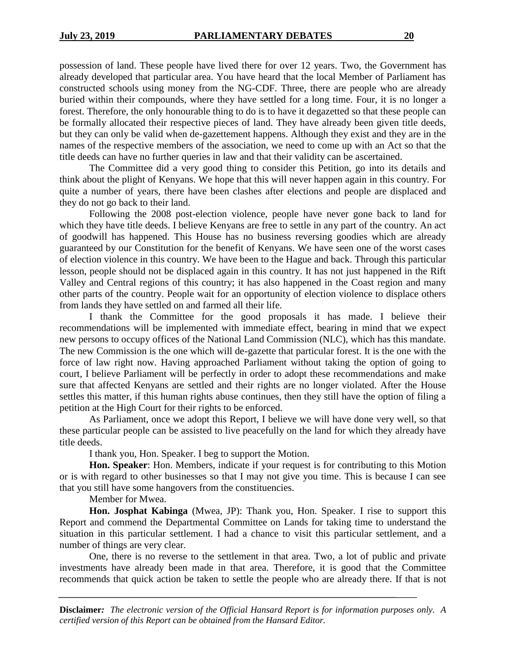possession of land. These people have lived there for over 12 years. Two, the Government has already developed that particular area. You have heard that the local Member of Parliament has constructed schools using money from the NG-CDF. Three, there are people who are already buried within their compounds, where they have settled for a long time. Four, it is no longer a forest. Therefore, the only honourable thing to do is to have it degazetted so that these people can be formally allocated their respective pieces of land. They have already been given title deeds, but they can only be valid when de-gazettement happens. Although they exist and they are in the names of the respective members of the association, we need to come up with an Act so that the title deeds can have no further queries in law and that their validity can be ascertained.

The Committee did a very good thing to consider this Petition, go into its details and think about the plight of Kenyans. We hope that this will never happen again in this country. For quite a number of years, there have been clashes after elections and people are displaced and they do not go back to their land.

Following the 2008 post-election violence, people have never gone back to land for which they have title deeds. I believe Kenyans are free to settle in any part of the country. An act of goodwill has happened. This House has no business reversing goodies which are already guaranteed by our Constitution for the benefit of Kenyans. We have seen one of the worst cases of election violence in this country. We have been to the Hague and back. Through this particular lesson, people should not be displaced again in this country. It has not just happened in the Rift Valley and Central regions of this country; it has also happened in the Coast region and many other parts of the country. People wait for an opportunity of election violence to displace others from lands they have settled on and farmed all their life.

I thank the Committee for the good proposals it has made. I believe their recommendations will be implemented with immediate effect, bearing in mind that we expect new persons to occupy offices of the National Land Commission (NLC), which has this mandate. The new Commission is the one which will de-gazette that particular forest. It is the one with the force of law right now. Having approached Parliament without taking the option of going to court, I believe Parliament will be perfectly in order to adopt these recommendations and make sure that affected Kenyans are settled and their rights are no longer violated. After the House settles this matter, if this human rights abuse continues, then they still have the option of filing a petition at the High Court for their rights to be enforced.

As Parliament, once we adopt this Report, I believe we will have done very well, so that these particular people can be assisted to live peacefully on the land for which they already have title deeds.

I thank you, Hon. Speaker. I beg to support the Motion.

**Hon. Speaker**: Hon. Members, indicate if your request is for contributing to this Motion or is with regard to other businesses so that I may not give you time. This is because I can see that you still have some hangovers from the constituencies.

Member for Mwea.

**Hon. Josphat Kabinga** (Mwea, JP): Thank you, Hon. Speaker. I rise to support this Report and commend the Departmental Committee on Lands for taking time to understand the situation in this particular settlement. I had a chance to visit this particular settlement, and a number of things are very clear.

One, there is no reverse to the settlement in that area. Two, a lot of public and private investments have already been made in that area. Therefore, it is good that the Committee recommends that quick action be taken to settle the people who are already there. If that is not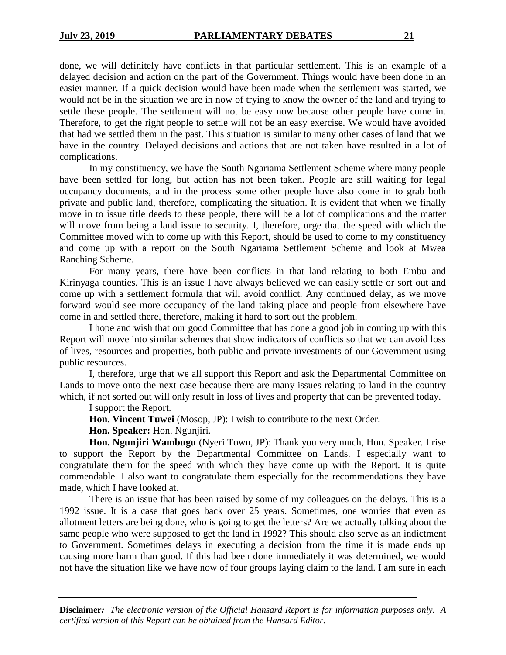done, we will definitely have conflicts in that particular settlement. This is an example of a delayed decision and action on the part of the Government. Things would have been done in an easier manner. If a quick decision would have been made when the settlement was started, we would not be in the situation we are in now of trying to know the owner of the land and trying to settle these people. The settlement will not be easy now because other people have come in. Therefore, to get the right people to settle will not be an easy exercise. We would have avoided that had we settled them in the past. This situation is similar to many other cases of land that we have in the country. Delayed decisions and actions that are not taken have resulted in a lot of complications.

In my constituency, we have the South Ngariama Settlement Scheme where many people have been settled for long, but action has not been taken. People are still waiting for legal occupancy documents, and in the process some other people have also come in to grab both private and public land, therefore, complicating the situation. It is evident that when we finally move in to issue title deeds to these people, there will be a lot of complications and the matter will move from being a land issue to security. I, therefore, urge that the speed with which the Committee moved with to come up with this Report, should be used to come to my constituency and come up with a report on the South Ngariama Settlement Scheme and look at Mwea Ranching Scheme.

For many years, there have been conflicts in that land relating to both Embu and Kirinyaga counties. This is an issue I have always believed we can easily settle or sort out and come up with a settlement formula that will avoid conflict. Any continued delay, as we move forward would see more occupancy of the land taking place and people from elsewhere have come in and settled there, therefore, making it hard to sort out the problem.

I hope and wish that our good Committee that has done a good job in coming up with this Report will move into similar schemes that show indicators of conflicts so that we can avoid loss of lives, resources and properties, both public and private investments of our Government using public resources.

I, therefore, urge that we all support this Report and ask the Departmental Committee on Lands to move onto the next case because there are many issues relating to land in the country which, if not sorted out will only result in loss of lives and property that can be prevented today.

I support the Report.

**Hon. Vincent Tuwei** (Mosop, JP): I wish to contribute to the next Order.

**Hon. Speaker:** Hon. Ngunjiri.

**Hon. Ngunjiri Wambugu** (Nyeri Town, JP): Thank you very much, Hon. Speaker. I rise to support the Report by the Departmental Committee on Lands. I especially want to congratulate them for the speed with which they have come up with the Report. It is quite commendable. I also want to congratulate them especially for the recommendations they have made, which I have looked at.

There is an issue that has been raised by some of my colleagues on the delays. This is a 1992 issue. It is a case that goes back over 25 years. Sometimes, one worries that even as allotment letters are being done, who is going to get the letters? Are we actually talking about the same people who were supposed to get the land in 1992? This should also serve as an indictment to Government. Sometimes delays in executing a decision from the time it is made ends up causing more harm than good. If this had been done immediately it was determined, we would not have the situation like we have now of four groups laying claim to the land. I am sure in each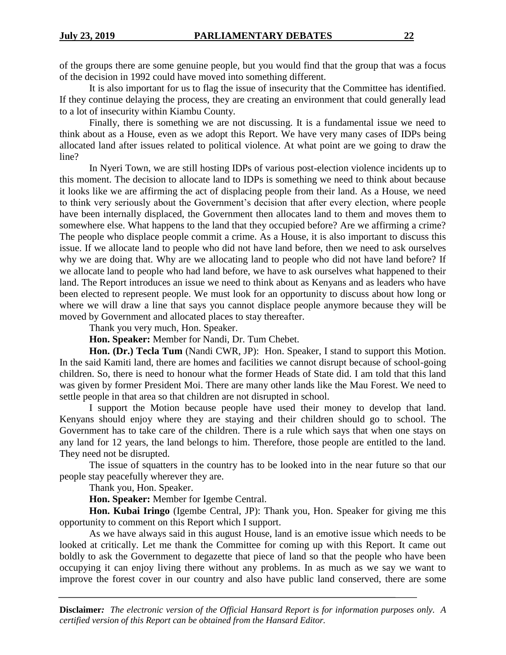of the groups there are some genuine people, but you would find that the group that was a focus of the decision in 1992 could have moved into something different.

It is also important for us to flag the issue of insecurity that the Committee has identified. If they continue delaying the process, they are creating an environment that could generally lead to a lot of insecurity within Kiambu County.

Finally, there is something we are not discussing. It is a fundamental issue we need to think about as a House, even as we adopt this Report. We have very many cases of IDPs being allocated land after issues related to political violence. At what point are we going to draw the line?

In Nyeri Town, we are still hosting IDPs of various post-election violence incidents up to this moment. The decision to allocate land to IDPs is something we need to think about because it looks like we are affirming the act of displacing people from their land. As a House, we need to think very seriously about the Government's decision that after every election, where people have been internally displaced, the Government then allocates land to them and moves them to somewhere else. What happens to the land that they occupied before? Are we affirming a crime? The people who displace people commit a crime. As a House, it is also important to discuss this issue. If we allocate land to people who did not have land before, then we need to ask ourselves why we are doing that. Why are we allocating land to people who did not have land before? If we allocate land to people who had land before, we have to ask ourselves what happened to their land. The Report introduces an issue we need to think about as Kenyans and as leaders who have been elected to represent people. We must look for an opportunity to discuss about how long or where we will draw a line that says you cannot displace people anymore because they will be moved by Government and allocated places to stay thereafter.

Thank you very much, Hon. Speaker.

**Hon. Speaker:** Member for Nandi, Dr. Tum Chebet.

**Hon. (Dr.) Tecla Tum** (Nandi CWR, JP): Hon. Speaker, I stand to support this Motion. In the said Kamiti land, there are homes and facilities we cannot disrupt because of school-going children. So, there is need to honour what the former Heads of State did. I am told that this land was given by former President Moi. There are many other lands like the Mau Forest. We need to settle people in that area so that children are not disrupted in school.

I support the Motion because people have used their money to develop that land. Kenyans should enjoy where they are staying and their children should go to school. The Government has to take care of the children. There is a rule which says that when one stays on any land for 12 years, the land belongs to him. Therefore, those people are entitled to the land. They need not be disrupted.

The issue of squatters in the country has to be looked into in the near future so that our people stay peacefully wherever they are.

Thank you, Hon. Speaker.

**Hon. Speaker:** Member for Igembe Central.

**Hon. Kubai Iringo** (Igembe Central, JP): Thank you, Hon. Speaker for giving me this opportunity to comment on this Report which I support.

As we have always said in this august House, land is an emotive issue which needs to be looked at critically. Let me thank the Committee for coming up with this Report. It came out boldly to ask the Government to degazette that piece of land so that the people who have been occupying it can enjoy living there without any problems. In as much as we say we want to improve the forest cover in our country and also have public land conserved, there are some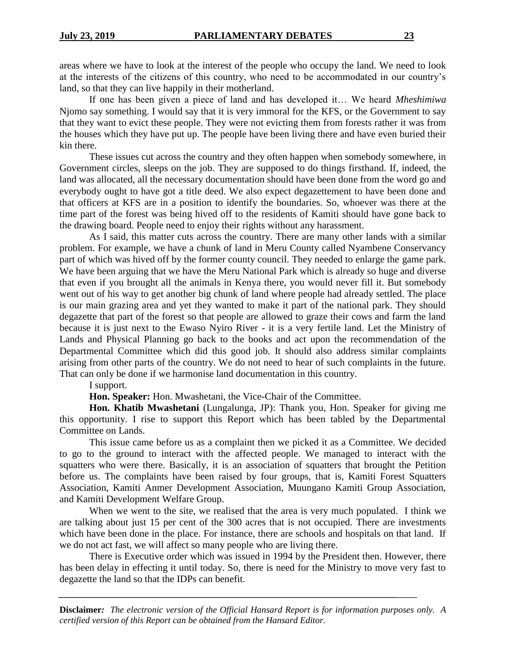areas where we have to look at the interest of the people who occupy the land. We need to look at the interests of the citizens of this country, who need to be accommodated in our country's land, so that they can live happily in their motherland.

If one has been given a piece of land and has developed it… We heard *Mheshimiwa* Njomo say something. I would say that it is very immoral for the KFS, or the Government to say that they want to evict these people. They were not evicting them from forests rather it was from the houses which they have put up. The people have been living there and have even buried their kin there.

These issues cut across the country and they often happen when somebody somewhere, in Government circles, sleeps on the job. They are supposed to do things firsthand. If, indeed, the land was allocated, all the necessary documentation should have been done from the word go and everybody ought to have got a title deed. We also expect degazettement to have been done and that officers at KFS are in a position to identify the boundaries. So, whoever was there at the time part of the forest was being hived off to the residents of Kamiti should have gone back to the drawing board. People need to enjoy their rights without any harassment.

As I said, this matter cuts across the country. There are many other lands with a similar problem. For example, we have a chunk of land in Meru County called Nyambene Conservancy part of which was hived off by the former county council. They needed to enlarge the game park. We have been arguing that we have the Meru National Park which is already so huge and diverse that even if you brought all the animals in Kenya there, you would never fill it. But somebody went out of his way to get another big chunk of land where people had already settled. The place is our main grazing area and yet they wanted to make it part of the national park. They should degazette that part of the forest so that people are allowed to graze their cows and farm the land because it is just next to the Ewaso Nyiro River - it is a very fertile land. Let the Ministry of Lands and Physical Planning go back to the books and act upon the recommendation of the Departmental Committee which did this good job. It should also address similar complaints arising from other parts of the country. We do not need to hear of such complaints in the future. That can only be done if we harmonise land documentation in this country.

I support.

**Hon. Speaker:** Hon. Mwashetani, the Vice-Chair of the Committee.

**Hon. Khatib Mwashetani** (Lungalunga, JP): Thank you, Hon. Speaker for giving me this opportunity. I rise to support this Report which has been tabled by the Departmental Committee on Lands.

This issue came before us as a complaint then we picked it as a Committee. We decided to go to the ground to interact with the affected people. We managed to interact with the squatters who were there. Basically, it is an association of squatters that brought the Petition before us. The complaints have been raised by four groups, that is, Kamiti Forest Squatters Association, Kamiti Anmer Development Association, Muungano Kamiti Group Association, and Kamiti Development Welfare Group.

When we went to the site, we realised that the area is very much populated. I think we are talking about just 15 per cent of the 300 acres that is not occupied. There are investments which have been done in the place. For instance, there are schools and hospitals on that land. If we do not act fast, we will affect so many people who are living there.

There is Executive order which was issued in 1994 by the President then. However, there has been delay in effecting it until today. So, there is need for the Ministry to move very fast to degazette the land so that the IDPs can benefit.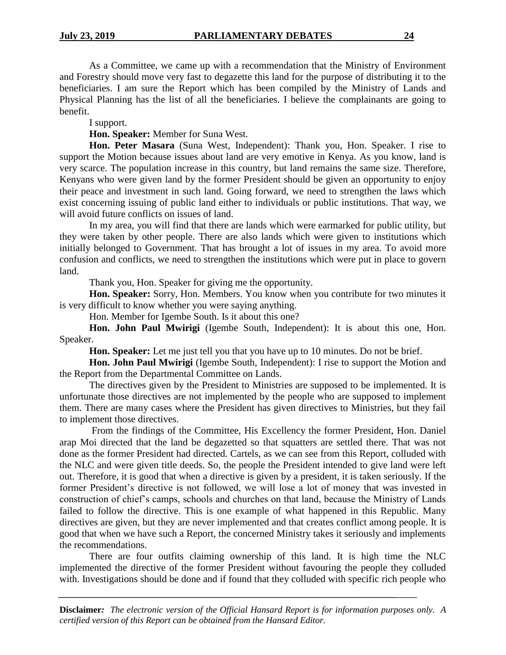As a Committee, we came up with a recommendation that the Ministry of Environment and Forestry should move very fast to degazette this land for the purpose of distributing it to the beneficiaries. I am sure the Report which has been compiled by the Ministry of Lands and Physical Planning has the list of all the beneficiaries. I believe the complainants are going to benefit.

I support.

**Hon. Speaker:** Member for Suna West.

**Hon. Peter Masara** (Suna West, Independent): Thank you, Hon. Speaker. I rise to support the Motion because issues about land are very emotive in Kenya. As you know, land is very scarce. The population increase in this country, but land remains the same size. Therefore, Kenyans who were given land by the former President should be given an opportunity to enjoy their peace and investment in such land. Going forward, we need to strengthen the laws which exist concerning issuing of public land either to individuals or public institutions. That way, we will avoid future conflicts on issues of land.

In my area, you will find that there are lands which were earmarked for public utility, but they were taken by other people. There are also lands which were given to institutions which initially belonged to Government. That has brought a lot of issues in my area. To avoid more confusion and conflicts, we need to strengthen the institutions which were put in place to govern land.

Thank you, Hon. Speaker for giving me the opportunity.

**Hon. Speaker:** Sorry, Hon. Members. You know when you contribute for two minutes it is very difficult to know whether you were saying anything.

Hon. Member for Igembe South. Is it about this one?

**Hon. John Paul Mwirigi** (Igembe South, Independent): It is about this one, Hon. Speaker.

**Hon. Speaker:** Let me just tell you that you have up to 10 minutes. Do not be brief.

**Hon. John Paul Mwirigi** (Igembe South, Independent): I rise to support the Motion and the Report from the Departmental Committee on Lands.

The directives given by the President to Ministries are supposed to be implemented. It is unfortunate those directives are not implemented by the people who are supposed to implement them. There are many cases where the President has given directives to Ministries, but they fail to implement those directives.

From the findings of the Committee, His Excellency the former President, Hon. Daniel arap Moi directed that the land be degazetted so that squatters are settled there. That was not done as the former President had directed. Cartels, as we can see from this Report, colluded with the NLC and were given title deeds. So, the people the President intended to give land were left out. Therefore, it is good that when a directive is given by a president, it is taken seriously. If the former President's directive is not followed, we will lose a lot of money that was invested in construction of chief's camps, schools and churches on that land, because the Ministry of Lands failed to follow the directive. This is one example of what happened in this Republic. Many directives are given, but they are never implemented and that creates conflict among people. It is good that when we have such a Report, the concerned Ministry takes it seriously and implements the recommendations.

There are four outfits claiming ownership of this land. It is high time the NLC implemented the directive of the former President without favouring the people they colluded with. Investigations should be done and if found that they colluded with specific rich people who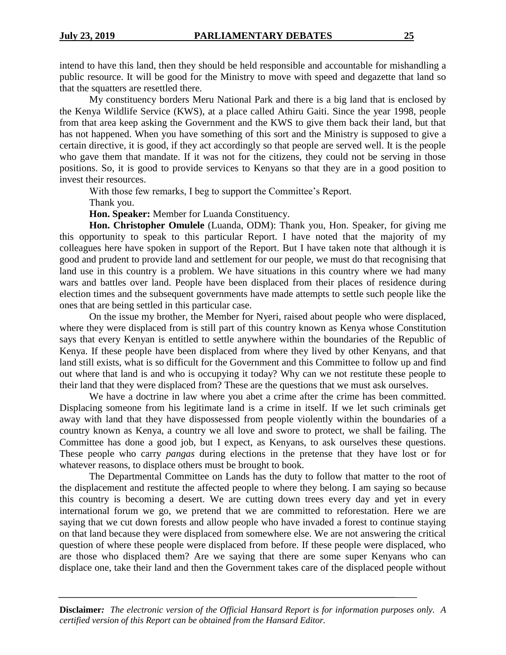intend to have this land, then they should be held responsible and accountable for mishandling a public resource. It will be good for the Ministry to move with speed and degazette that land so that the squatters are resettled there.

My constituency borders Meru National Park and there is a big land that is enclosed by the Kenya Wildlife Service (KWS), at a place called Athiru Gaiti. Since the year 1998, people from that area keep asking the Government and the KWS to give them back their land, but that has not happened. When you have something of this sort and the Ministry is supposed to give a certain directive, it is good, if they act accordingly so that people are served well. It is the people who gave them that mandate. If it was not for the citizens, they could not be serving in those positions. So, it is good to provide services to Kenyans so that they are in a good position to invest their resources.

With those few remarks, I beg to support the Committee's Report.

Thank you.

**Hon. Speaker:** Member for Luanda Constituency.

**Hon. Christopher Omulele** (Luanda, ODM): Thank you, Hon. Speaker, for giving me this opportunity to speak to this particular Report. I have noted that the majority of my colleagues here have spoken in support of the Report. But I have taken note that although it is good and prudent to provide land and settlement for our people, we must do that recognising that land use in this country is a problem. We have situations in this country where we had many wars and battles over land. People have been displaced from their places of residence during election times and the subsequent governments have made attempts to settle such people like the ones that are being settled in this particular case.

On the issue my brother, the Member for Nyeri, raised about people who were displaced, where they were displaced from is still part of this country known as Kenya whose Constitution says that every Kenyan is entitled to settle anywhere within the boundaries of the Republic of Kenya. If these people have been displaced from where they lived by other Kenyans, and that land still exists, what is so difficult for the Government and this Committee to follow up and find out where that land is and who is occupying it today? Why can we not restitute these people to their land that they were displaced from? These are the questions that we must ask ourselves.

We have a doctrine in law where you abet a crime after the crime has been committed. Displacing someone from his legitimate land is a crime in itself. If we let such criminals get away with land that they have dispossessed from people violently within the boundaries of a country known as Kenya, a country we all love and swore to protect, we shall be failing. The Committee has done a good job, but I expect, as Kenyans, to ask ourselves these questions. These people who carry *pangas* during elections in the pretense that they have lost or for whatever reasons, to displace others must be brought to book.

The Departmental Committee on Lands has the duty to follow that matter to the root of the displacement and restitute the affected people to where they belong. I am saying so because this country is becoming a desert. We are cutting down trees every day and yet in every international forum we go, we pretend that we are committed to reforestation. Here we are saying that we cut down forests and allow people who have invaded a forest to continue staying on that land because they were displaced from somewhere else. We are not answering the critical question of where these people were displaced from before. If these people were displaced, who are those who displaced them? Are we saying that there are some super Kenyans who can displace one, take their land and then the Government takes care of the displaced people without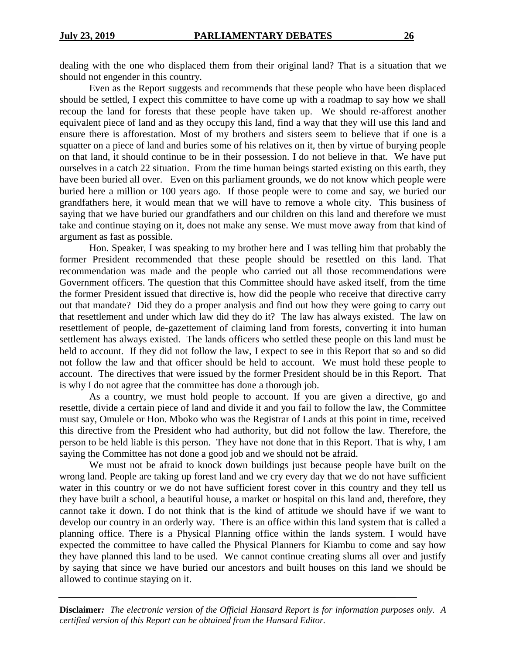dealing with the one who displaced them from their original land? That is a situation that we should not engender in this country.

Even as the Report suggests and recommends that these people who have been displaced should be settled, I expect this committee to have come up with a roadmap to say how we shall recoup the land for forests that these people have taken up. We should re-afforest another equivalent piece of land and as they occupy this land, find a way that they will use this land and ensure there is afforestation. Most of my brothers and sisters seem to believe that if one is a squatter on a piece of land and buries some of his relatives on it, then by virtue of burying people on that land, it should continue to be in their possession. I do not believe in that. We have put ourselves in a catch 22 situation. From the time human beings started existing on this earth, they have been buried all over. Even on this parliament grounds, we do not know which people were buried here a million or 100 years ago. If those people were to come and say, we buried our grandfathers here, it would mean that we will have to remove a whole city. This business of saying that we have buried our grandfathers and our children on this land and therefore we must take and continue staying on it, does not make any sense. We must move away from that kind of argument as fast as possible.

Hon. Speaker, I was speaking to my brother here and I was telling him that probably the former President recommended that these people should be resettled on this land. That recommendation was made and the people who carried out all those recommendations were Government officers. The question that this Committee should have asked itself, from the time the former President issued that directive is, how did the people who receive that directive carry out that mandate? Did they do a proper analysis and find out how they were going to carry out that resettlement and under which law did they do it? The law has always existed. The law on resettlement of people, de-gazettement of claiming land from forests, converting it into human settlement has always existed. The lands officers who settled these people on this land must be held to account. If they did not follow the law, I expect to see in this Report that so and so did not follow the law and that officer should be held to account. We must hold these people to account. The directives that were issued by the former President should be in this Report. That is why I do not agree that the committee has done a thorough job.

As a country, we must hold people to account. If you are given a directive, go and resettle, divide a certain piece of land and divide it and you fail to follow the law, the Committee must say, Omulele or Hon. Mboko who was the Registrar of Lands at this point in time, received this directive from the President who had authority, but did not follow the law. Therefore, the person to be held liable is this person. They have not done that in this Report. That is why, I am saying the Committee has not done a good job and we should not be afraid.

We must not be afraid to knock down buildings just because people have built on the wrong land. People are taking up forest land and we cry every day that we do not have sufficient water in this country or we do not have sufficient forest cover in this country and they tell us they have built a school, a beautiful house, a market or hospital on this land and, therefore, they cannot take it down. I do not think that is the kind of attitude we should have if we want to develop our country in an orderly way. There is an office within this land system that is called a planning office. There is a Physical Planning office within the lands system. I would have expected the committee to have called the Physical Planners for Kiambu to come and say how they have planned this land to be used. We cannot continue creating slums all over and justify by saying that since we have buried our ancestors and built houses on this land we should be allowed to continue staying on it.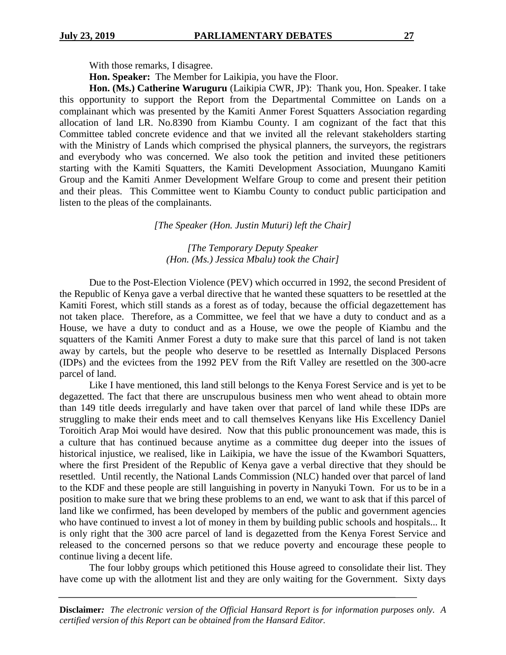With those remarks, I disagree.

**Hon. Speaker:** The Member for Laikipia, you have the Floor.

**Hon. (Ms.) Catherine Waruguru** (Laikipia CWR, JP): Thank you, Hon. Speaker. I take this opportunity to support the Report from the Departmental Committee on Lands on a complainant which was presented by the Kamiti Anmer Forest Squatters Association regarding allocation of land LR. No.8390 from Kiambu County. I am cognizant of the fact that this Committee tabled concrete evidence and that we invited all the relevant stakeholders starting with the Ministry of Lands which comprised the physical planners, the surveyors, the registrars and everybody who was concerned. We also took the petition and invited these petitioners starting with the Kamiti Squatters, the Kamiti Development Association, Muungano Kamiti Group and the Kamiti Anmer Development Welfare Group to come and present their petition and their pleas. This Committee went to Kiambu County to conduct public participation and listen to the pleas of the complainants.

## *[The Speaker (Hon. Justin Muturi) left the Chair]*

## *[The Temporary Deputy Speaker (Hon. (Ms.) Jessica Mbalu) took the Chair]*

Due to the Post-Election Violence (PEV) which occurred in 1992, the second President of the Republic of Kenya gave a verbal directive that he wanted these squatters to be resettled at the Kamiti Forest, which still stands as a forest as of today, because the official degazettement has not taken place. Therefore, as a Committee, we feel that we have a duty to conduct and as a House, we have a duty to conduct and as a House, we owe the people of Kiambu and the squatters of the Kamiti Anmer Forest a duty to make sure that this parcel of land is not taken away by cartels, but the people who deserve to be resettled as Internally Displaced Persons (IDPs) and the evictees from the 1992 PEV from the Rift Valley are resettled on the 300-acre parcel of land.

Like I have mentioned, this land still belongs to the Kenya Forest Service and is yet to be degazetted. The fact that there are unscrupulous business men who went ahead to obtain more than 149 title deeds irregularly and have taken over that parcel of land while these IDPs are struggling to make their ends meet and to call themselves Kenyans like His Excellency Daniel Toroitich Arap Moi would have desired. Now that this public pronouncement was made, this is a culture that has continued because anytime as a committee dug deeper into the issues of historical injustice, we realised, like in Laikipia, we have the issue of the Kwambori Squatters, where the first President of the Republic of Kenya gave a verbal directive that they should be resettled. Until recently, the National Lands Commission (NLC) handed over that parcel of land to the KDF and these people are still languishing in poverty in Nanyuki Town. For us to be in a position to make sure that we bring these problems to an end, we want to ask that if this parcel of land like we confirmed, has been developed by members of the public and government agencies who have continued to invest a lot of money in them by building public schools and hospitals... It is only right that the 300 acre parcel of land is degazetted from the Kenya Forest Service and released to the concerned persons so that we reduce poverty and encourage these people to continue living a decent life.

The four lobby groups which petitioned this House agreed to consolidate their list. They have come up with the allotment list and they are only waiting for the Government. Sixty days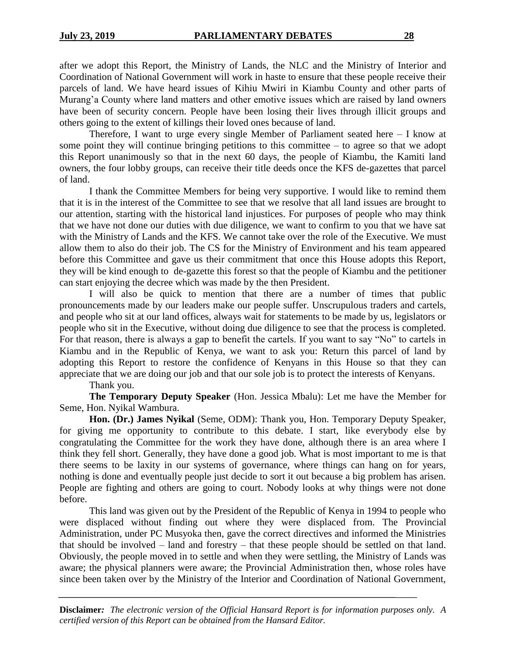after we adopt this Report, the Ministry of Lands, the NLC and the Ministry of Interior and Coordination of National Government will work in haste to ensure that these people receive their parcels of land. We have heard issues of Kihiu Mwiri in Kiambu County and other parts of Murang'a County where land matters and other emotive issues which are raised by land owners have been of security concern. People have been losing their lives through illicit groups and others going to the extent of killings their loved ones because of land.

Therefore, I want to urge every single Member of Parliament seated here  $-$  I know at some point they will continue bringing petitions to this committee – to agree so that we adopt this Report unanimously so that in the next 60 days, the people of Kiambu, the Kamiti land owners, the four lobby groups, can receive their title deeds once the KFS de-gazettes that parcel of land.

I thank the Committee Members for being very supportive. I would like to remind them that it is in the interest of the Committee to see that we resolve that all land issues are brought to our attention, starting with the historical land injustices. For purposes of people who may think that we have not done our duties with due diligence, we want to confirm to you that we have sat with the Ministry of Lands and the KFS. We cannot take over the role of the Executive. We must allow them to also do their job. The CS for the Ministry of Environment and his team appeared before this Committee and gave us their commitment that once this House adopts this Report, they will be kind enough to de-gazette this forest so that the people of Kiambu and the petitioner can start enjoying the decree which was made by the then President.

I will also be quick to mention that there are a number of times that public pronouncements made by our leaders make our people suffer. Unscrupulous traders and cartels, and people who sit at our land offices, always wait for statements to be made by us, legislators or people who sit in the Executive, without doing due diligence to see that the process is completed. For that reason, there is always a gap to benefit the cartels. If you want to say "No" to cartels in Kiambu and in the Republic of Kenya, we want to ask you: Return this parcel of land by adopting this Report to restore the confidence of Kenyans in this House so that they can appreciate that we are doing our job and that our sole job is to protect the interests of Kenyans.

Thank you.

**The Temporary Deputy Speaker** (Hon. Jessica Mbalu): Let me have the Member for Seme, Hon. Nyikal Wambura.

**Hon. (Dr.) James Nyikal** (Seme, ODM): Thank you, Hon. Temporary Deputy Speaker, for giving me opportunity to contribute to this debate. I start, like everybody else by congratulating the Committee for the work they have done, although there is an area where I think they fell short. Generally, they have done a good job. What is most important to me is that there seems to be laxity in our systems of governance, where things can hang on for years, nothing is done and eventually people just decide to sort it out because a big problem has arisen. People are fighting and others are going to court. Nobody looks at why things were not done before.

This land was given out by the President of the Republic of Kenya in 1994 to people who were displaced without finding out where they were displaced from. The Provincial Administration, under PC Musyoka then, gave the correct directives and informed the Ministries that should be involved – land and forestry – that these people should be settled on that land. Obviously, the people moved in to settle and when they were settling, the Ministry of Lands was aware; the physical planners were aware; the Provincial Administration then, whose roles have since been taken over by the Ministry of the Interior and Coordination of National Government,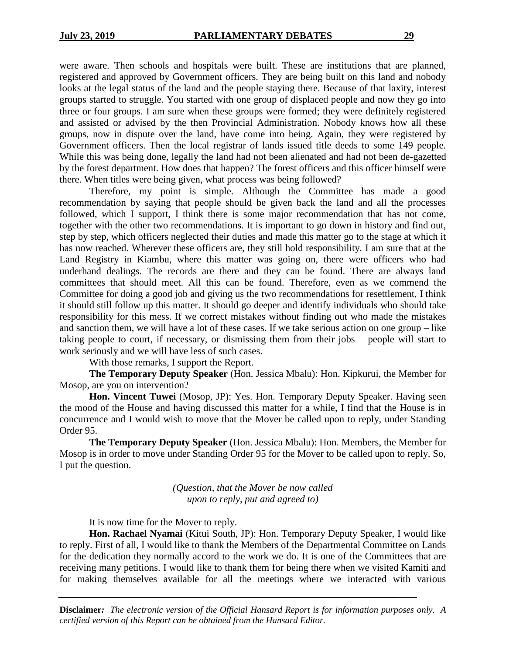were aware. Then schools and hospitals were built. These are institutions that are planned, registered and approved by Government officers. They are being built on this land and nobody looks at the legal status of the land and the people staying there. Because of that laxity, interest groups started to struggle. You started with one group of displaced people and now they go into three or four groups. I am sure when these groups were formed; they were definitely registered and assisted or advised by the then Provincial Administration. Nobody knows how all these groups, now in dispute over the land, have come into being. Again, they were registered by Government officers. Then the local registrar of lands issued title deeds to some 149 people. While this was being done, legally the land had not been alienated and had not been de-gazetted by the forest department. How does that happen? The forest officers and this officer himself were there. When titles were being given, what process was being followed?

Therefore, my point is simple. Although the Committee has made a good recommendation by saying that people should be given back the land and all the processes followed, which I support, I think there is some major recommendation that has not come, together with the other two recommendations. It is important to go down in history and find out, step by step, which officers neglected their duties and made this matter go to the stage at which it has now reached. Wherever these officers are, they still hold responsibility. I am sure that at the Land Registry in Kiambu, where this matter was going on, there were officers who had underhand dealings. The records are there and they can be found. There are always land committees that should meet. All this can be found. Therefore, even as we commend the Committee for doing a good job and giving us the two recommendations for resettlement, I think it should still follow up this matter. It should go deeper and identify individuals who should take responsibility for this mess. If we correct mistakes without finding out who made the mistakes and sanction them, we will have a lot of these cases. If we take serious action on one group – like taking people to court, if necessary, or dismissing them from their jobs – people will start to work seriously and we will have less of such cases.

With those remarks, I support the Report.

**The Temporary Deputy Speaker** (Hon. Jessica Mbalu): Hon. Kipkurui, the Member for Mosop, are you on intervention?

**Hon. Vincent Tuwei** (Mosop, JP): Yes. Hon. Temporary Deputy Speaker. Having seen the mood of the House and having discussed this matter for a while, I find that the House is in concurrence and I would wish to move that the Mover be called upon to reply, under Standing Order 95.

**The Temporary Deputy Speaker** (Hon. Jessica Mbalu): Hon. Members, the Member for Mosop is in order to move under Standing Order 95 for the Mover to be called upon to reply. So, I put the question.

> *(Question, that the Mover be now called upon to reply, put and agreed to)*

It is now time for the Mover to reply.

**Hon. Rachael Nyamai** (Kitui South, JP): Hon. Temporary Deputy Speaker, I would like to reply. First of all, I would like to thank the Members of the Departmental Committee on Lands for the dedication they normally accord to the work we do. It is one of the Committees that are receiving many petitions. I would like to thank them for being there when we visited Kamiti and for making themselves available for all the meetings where we interacted with various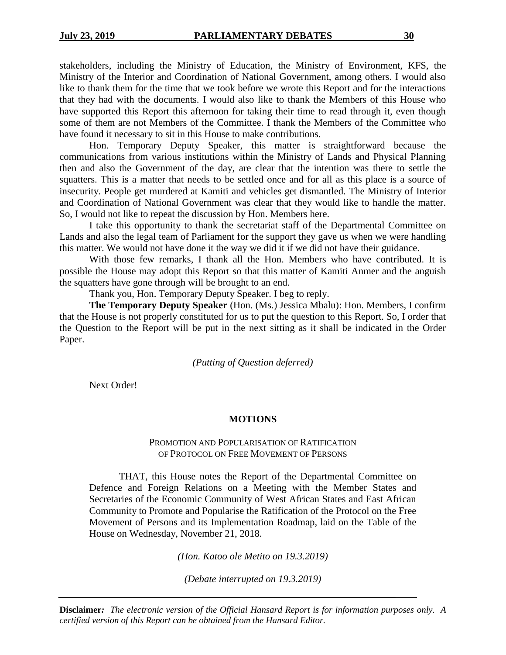stakeholders, including the Ministry of Education, the Ministry of Environment, KFS, the Ministry of the Interior and Coordination of National Government, among others. I would also like to thank them for the time that we took before we wrote this Report and for the interactions that they had with the documents. I would also like to thank the Members of this House who have supported this Report this afternoon for taking their time to read through it, even though some of them are not Members of the Committee. I thank the Members of the Committee who

have found it necessary to sit in this House to make contributions. Hon. Temporary Deputy Speaker, this matter is straightforward because the communications from various institutions within the Ministry of Lands and Physical Planning then and also the Government of the day, are clear that the intention was there to settle the squatters. This is a matter that needs to be settled once and for all as this place is a source of insecurity. People get murdered at Kamiti and vehicles get dismantled. The Ministry of Interior and Coordination of National Government was clear that they would like to handle the matter. So, I would not like to repeat the discussion by Hon. Members here.

I take this opportunity to thank the secretariat staff of the Departmental Committee on Lands and also the legal team of Parliament for the support they gave us when we were handling this matter. We would not have done it the way we did it if we did not have their guidance.

With those few remarks, I thank all the Hon. Members who have contributed. It is possible the House may adopt this Report so that this matter of Kamiti Anmer and the anguish the squatters have gone through will be brought to an end.

Thank you, Hon. Temporary Deputy Speaker. I beg to reply.

**The Temporary Deputy Speaker** (Hon. (Ms.) Jessica Mbalu): Hon. Members, I confirm that the House is not properly constituted for us to put the question to this Report. So, I order that the Question to the Report will be put in the next sitting as it shall be indicated in the Order Paper.

*(Putting of Question deferred)*

Next Order!

## **MOTIONS**

## PROMOTION AND POPULARISATION OF RATIFICATION OF PROTOCOL ON FREE MOVEMENT OF PERSONS

THAT, this House notes the Report of the Departmental Committee on Defence and Foreign Relations on a Meeting with the Member States and Secretaries of the Economic Community of West African States and East African Community to Promote and Popularise the Ratification of the Protocol on the Free Movement of Persons and its Implementation Roadmap, laid on the Table of the House on Wednesday, November 21, 2018.

*(Hon. Katoo ole Metito on 19.3.2019)*

*(Debate interrupted on 19.3.2019)*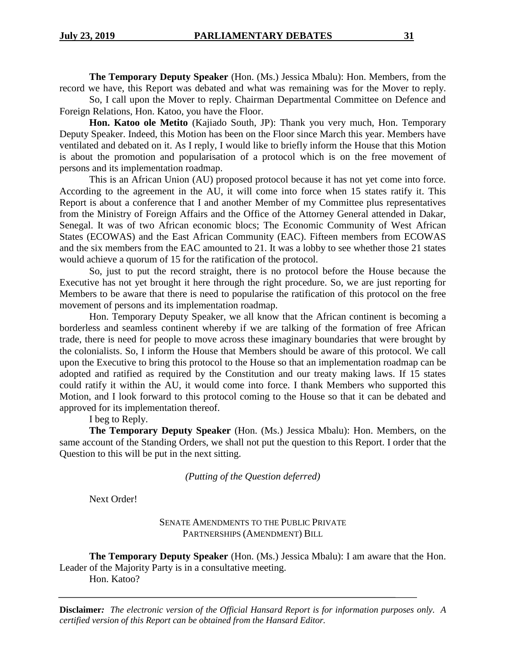**The Temporary Deputy Speaker** (Hon. (Ms.) Jessica Mbalu): Hon. Members, from the record we have, this Report was debated and what was remaining was for the Mover to reply.

So, I call upon the Mover to reply. Chairman Departmental Committee on Defence and Foreign Relations, Hon. Katoo, you have the Floor.

**Hon. Katoo ole Metito** (Kajiado South, JP): Thank you very much, Hon. Temporary Deputy Speaker. Indeed, this Motion has been on the Floor since March this year. Members have ventilated and debated on it. As I reply, I would like to briefly inform the House that this Motion is about the promotion and popularisation of a protocol which is on the free movement of persons and its implementation roadmap.

This is an African Union (AU) proposed protocol because it has not yet come into force. According to the agreement in the AU, it will come into force when 15 states ratify it. This Report is about a conference that I and another Member of my Committee plus representatives from the Ministry of Foreign Affairs and the Office of the Attorney General attended in Dakar, Senegal. It was of two African economic blocs; The Economic Community of West African States (ECOWAS) and the East African Community (EAC). Fifteen members from ECOWAS and the six members from the EAC amounted to 21. It was a lobby to see whether those 21 states would achieve a quorum of 15 for the ratification of the protocol.

So, just to put the record straight, there is no protocol before the House because the Executive has not yet brought it here through the right procedure. So, we are just reporting for Members to be aware that there is need to popularise the ratification of this protocol on the free movement of persons and its implementation roadmap.

Hon. Temporary Deputy Speaker, we all know that the African continent is becoming a borderless and seamless continent whereby if we are talking of the formation of free African trade, there is need for people to move across these imaginary boundaries that were brought by the colonialists. So, I inform the House that Members should be aware of this protocol. We call upon the Executive to bring this protocol to the House so that an implementation roadmap can be adopted and ratified as required by the Constitution and our treaty making laws. If 15 states could ratify it within the AU, it would come into force. I thank Members who supported this Motion, and I look forward to this protocol coming to the House so that it can be debated and approved for its implementation thereof.

I beg to Reply.

**The Temporary Deputy Speaker** (Hon. (Ms.) Jessica Mbalu): Hon. Members, on the same account of the Standing Orders, we shall not put the question to this Report. I order that the Question to this will be put in the next sitting.

*(Putting of the Question deferred)*

Next Order!

SENATE AMENDMENTS TO THE PUBLIC PRIVATE PARTNERSHIPS (AMENDMENT) BILL

**The Temporary Deputy Speaker** (Hon. (Ms.) Jessica Mbalu): I am aware that the Hon. Leader of the Majority Party is in a consultative meeting. Hon. Katoo?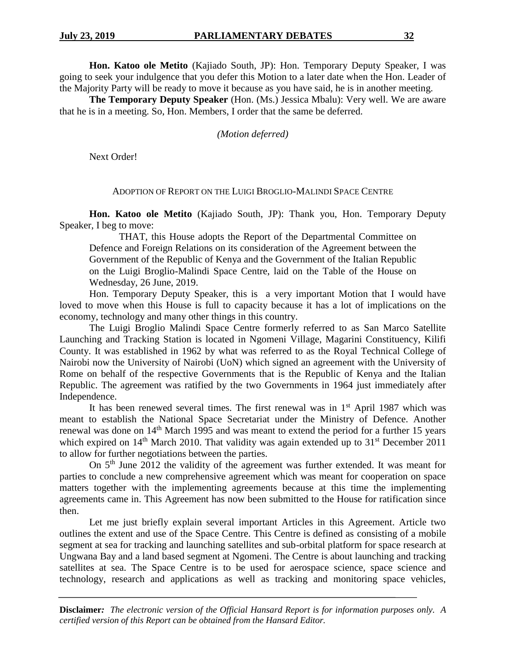**Hon. Katoo ole Metito** (Kajiado South, JP): Hon. Temporary Deputy Speaker, I was going to seek your indulgence that you defer this Motion to a later date when the Hon. Leader of the Majority Party will be ready to move it because as you have said, he is in another meeting.

**The Temporary Deputy Speaker** (Hon. (Ms.) Jessica Mbalu): Very well. We are aware that he is in a meeting. So, Hon. Members, I order that the same be deferred.

*(Motion deferred)*

Next Order!

## ADOPTION OF REPORT ON THE LUIGI BROGLIO-MALINDI SPACE CENTRE

**Hon. Katoo ole Metito** (Kajiado South, JP): Thank you, Hon. Temporary Deputy Speaker, I beg to move:

THAT, this House adopts the Report of the Departmental Committee on Defence and Foreign Relations on its consideration of the Agreement between the Government of the Republic of Kenya and the Government of the Italian Republic on the Luigi Broglio-Malindi Space Centre, laid on the Table of the House on Wednesday, 26 June, 2019.

Hon. Temporary Deputy Speaker, this is a very important Motion that I would have loved to move when this House is full to capacity because it has a lot of implications on the economy, technology and many other things in this country.

The Luigi Broglio Malindi Space Centre formerly referred to as San Marco Satellite Launching and Tracking Station is located in Ngomeni Village, Magarini Constituency, Kilifi County. It was established in 1962 by what was referred to as the Royal Technical College of Nairobi now the University of Nairobi (UoN) which signed an agreement with the University of Rome on behalf of the respective Governments that is the Republic of Kenya and the Italian Republic. The agreement was ratified by the two Governments in 1964 just immediately after Independence.

It has been renewed several times. The first renewal was in  $1<sup>st</sup>$  April 1987 which was meant to establish the National Space Secretariat under the Ministry of Defence. Another renewal was done on 14<sup>th</sup> March 1995 and was meant to extend the period for a further 15 years which expired on  $14<sup>th</sup>$  March 2010. That validity was again extended up to  $31<sup>st</sup>$  December 2011 to allow for further negotiations between the parties.

On 5th June 2012 the validity of the agreement was further extended. It was meant for parties to conclude a new comprehensive agreement which was meant for cooperation on space matters together with the implementing agreements because at this time the implementing agreements came in. This Agreement has now been submitted to the House for ratification since then.

Let me just briefly explain several important Articles in this Agreement. Article two outlines the extent and use of the Space Centre. This Centre is defined as consisting of a mobile segment at sea for tracking and launching satellites and sub-orbital platform for space research at Ungwana Bay and a land based segment at Ngomeni. The Centre is about launching and tracking satellites at sea. The Space Centre is to be used for aerospace science, space science and technology, research and applications as well as tracking and monitoring space vehicles,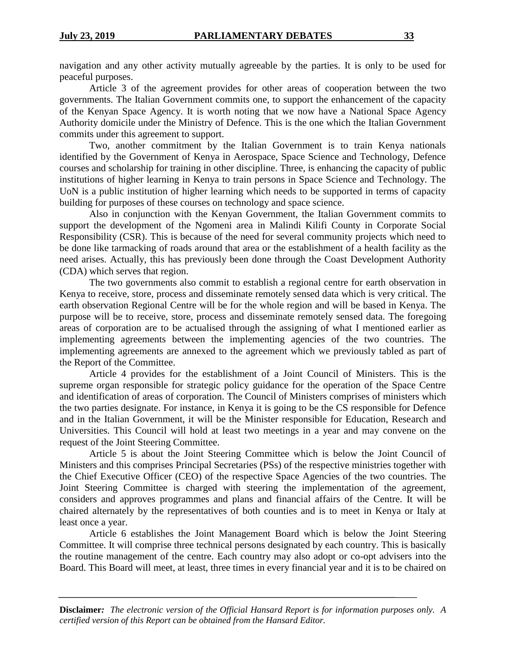navigation and any other activity mutually agreeable by the parties. It is only to be used for peaceful purposes.

Article 3 of the agreement provides for other areas of cooperation between the two governments. The Italian Government commits one, to support the enhancement of the capacity of the Kenyan Space Agency. It is worth noting that we now have a National Space Agency Authority domicile under the Ministry of Defence. This is the one which the Italian Government commits under this agreement to support.

Two, another commitment by the Italian Government is to train Kenya nationals identified by the Government of Kenya in Aerospace, Space Science and Technology, Defence courses and scholarship for training in other discipline. Three, is enhancing the capacity of public institutions of higher learning in Kenya to train persons in Space Science and Technology. The UoN is a public institution of higher learning which needs to be supported in terms of capacity building for purposes of these courses on technology and space science.

Also in conjunction with the Kenyan Government, the Italian Government commits to support the development of the Ngomeni area in Malindi Kilifi County in Corporate Social Responsibility (CSR). This is because of the need for several community projects which need to be done like tarmacking of roads around that area or the establishment of a health facility as the need arises. Actually, this has previously been done through the Coast Development Authority (CDA) which serves that region.

The two governments also commit to establish a regional centre for earth observation in Kenya to receive, store, process and disseminate remotely sensed data which is very critical. The earth observation Regional Centre will be for the whole region and will be based in Kenya. The purpose will be to receive, store, process and disseminate remotely sensed data. The foregoing areas of corporation are to be actualised through the assigning of what I mentioned earlier as implementing agreements between the implementing agencies of the two countries. The implementing agreements are annexed to the agreement which we previously tabled as part of the Report of the Committee.

Article 4 provides for the establishment of a Joint Council of Ministers. This is the supreme organ responsible for strategic policy guidance for the operation of the Space Centre and identification of areas of corporation. The Council of Ministers comprises of ministers which the two parties designate. For instance, in Kenya it is going to be the CS responsible for Defence and in the Italian Government, it will be the Minister responsible for Education, Research and Universities. This Council will hold at least two meetings in a year and may convene on the request of the Joint Steering Committee.

Article 5 is about the Joint Steering Committee which is below the Joint Council of Ministers and this comprises Principal Secretaries (PSs) of the respective ministries together with the Chief Executive Officer (CEO) of the respective Space Agencies of the two countries. The Joint Steering Committee is charged with steering the implementation of the agreement, considers and approves programmes and plans and financial affairs of the Centre. It will be chaired alternately by the representatives of both counties and is to meet in Kenya or Italy at least once a year.

Article 6 establishes the Joint Management Board which is below the Joint Steering Committee. It will comprise three technical persons designated by each country. This is basically the routine management of the centre. Each country may also adopt or co-opt advisers into the Board. This Board will meet, at least, three times in every financial year and it is to be chaired on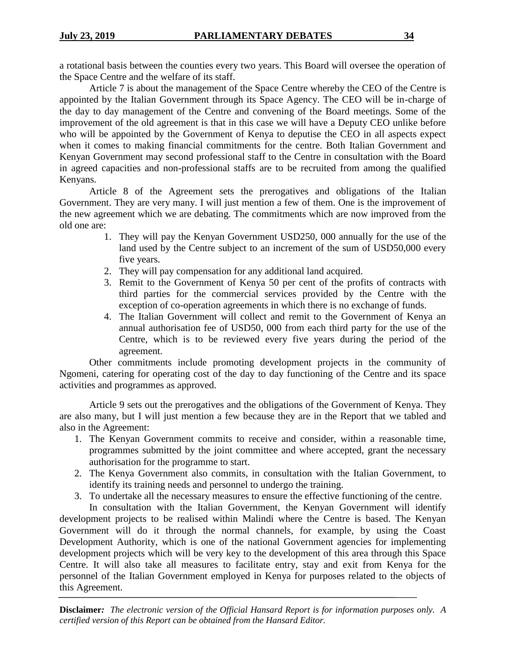a rotational basis between the counties every two years. This Board will oversee the operation of the Space Centre and the welfare of its staff.

Article 7 is about the management of the Space Centre whereby the CEO of the Centre is appointed by the Italian Government through its Space Agency. The CEO will be in-charge of the day to day management of the Centre and convening of the Board meetings. Some of the improvement of the old agreement is that in this case we will have a Deputy CEO unlike before who will be appointed by the Government of Kenya to deputise the CEO in all aspects expect when it comes to making financial commitments for the centre. Both Italian Government and Kenyan Government may second professional staff to the Centre in consultation with the Board in agreed capacities and non-professional staffs are to be recruited from among the qualified Kenyans.

Article 8 of the Agreement sets the prerogatives and obligations of the Italian Government. They are very many. I will just mention a few of them. One is the improvement of the new agreement which we are debating. The commitments which are now improved from the old one are:

- 1. They will pay the Kenyan Government USD250, 000 annually for the use of the land used by the Centre subject to an increment of the sum of USD50,000 every five years.
- 2. They will pay compensation for any additional land acquired.
- 3. Remit to the Government of Kenya 50 per cent of the profits of contracts with third parties for the commercial services provided by the Centre with the exception of co-operation agreements in which there is no exchange of funds.
- 4. The Italian Government will collect and remit to the Government of Kenya an annual authorisation fee of USD50, 000 from each third party for the use of the Centre, which is to be reviewed every five years during the period of the agreement.

Other commitments include promoting development projects in the community of Ngomeni, catering for operating cost of the day to day functioning of the Centre and its space activities and programmes as approved.

Article 9 sets out the prerogatives and the obligations of the Government of Kenya. They are also many, but I will just mention a few because they are in the Report that we tabled and also in the Agreement:

- 1. The Kenyan Government commits to receive and consider, within a reasonable time, programmes submitted by the joint committee and where accepted, grant the necessary authorisation for the programme to start.
- 2. The Kenya Government also commits, in consultation with the Italian Government, to identify its training needs and personnel to undergo the training.
- 3. To undertake all the necessary measures to ensure the effective functioning of the centre.

In consultation with the Italian Government, the Kenyan Government will identify development projects to be realised within Malindi where the Centre is based. The Kenyan Government will do it through the normal channels, for example, by using the Coast Development Authority, which is one of the national Government agencies for implementing development projects which will be very key to the development of this area through this Space Centre. It will also take all measures to facilitate entry, stay and exit from Kenya for the personnel of the Italian Government employed in Kenya for purposes related to the objects of this Agreement.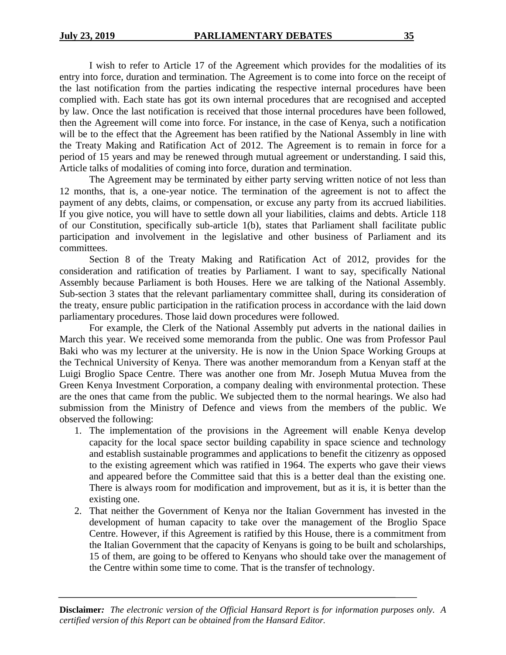I wish to refer to Article 17 of the Agreement which provides for the modalities of its entry into force, duration and termination. The Agreement is to come into force on the receipt of the last notification from the parties indicating the respective internal procedures have been complied with. Each state has got its own internal procedures that are recognised and accepted by law. Once the last notification is received that those internal procedures have been followed, then the Agreement will come into force. For instance, in the case of Kenya, such a notification will be to the effect that the Agreement has been ratified by the National Assembly in line with the Treaty Making and Ratification Act of 2012. The Agreement is to remain in force for a period of 15 years and may be renewed through mutual agreement or understanding. I said this, Article talks of modalities of coming into force, duration and termination.

The Agreement may be terminated by either party serving written notice of not less than 12 months, that is, a one-year notice. The termination of the agreement is not to affect the payment of any debts, claims, or compensation, or excuse any party from its accrued liabilities. If you give notice, you will have to settle down all your liabilities, claims and debts. Article 118 of our Constitution, specifically sub-article 1(b), states that Parliament shall facilitate public participation and involvement in the legislative and other business of Parliament and its committees.

Section 8 of the Treaty Making and Ratification Act of 2012, provides for the consideration and ratification of treaties by Parliament. I want to say, specifically National Assembly because Parliament is both Houses. Here we are talking of the National Assembly. Sub-section 3 states that the relevant parliamentary committee shall, during its consideration of the treaty, ensure public participation in the ratification process in accordance with the laid down parliamentary procedures. Those laid down procedures were followed.

For example, the Clerk of the National Assembly put adverts in the national dailies in March this year. We received some memoranda from the public. One was from Professor Paul Baki who was my lecturer at the university. He is now in the Union Space Working Groups at the Technical University of Kenya. There was another memorandum from a Kenyan staff at the Luigi Broglio Space Centre. There was another one from Mr. Joseph Mutua Muvea from the Green Kenya Investment Corporation, a company dealing with environmental protection. These are the ones that came from the public. We subjected them to the normal hearings. We also had submission from the Ministry of Defence and views from the members of the public. We observed the following:

- 1. The implementation of the provisions in the Agreement will enable Kenya develop capacity for the local space sector building capability in space science and technology and establish sustainable programmes and applications to benefit the citizenry as opposed to the existing agreement which was ratified in 1964. The experts who gave their views and appeared before the Committee said that this is a better deal than the existing one. There is always room for modification and improvement, but as it is, it is better than the existing one.
- 2. That neither the Government of Kenya nor the Italian Government has invested in the development of human capacity to take over the management of the Broglio Space Centre. However, if this Agreement is ratified by this House, there is a commitment from the Italian Government that the capacity of Kenyans is going to be built and scholarships, 15 of them, are going to be offered to Kenyans who should take over the management of the Centre within some time to come. That is the transfer of technology.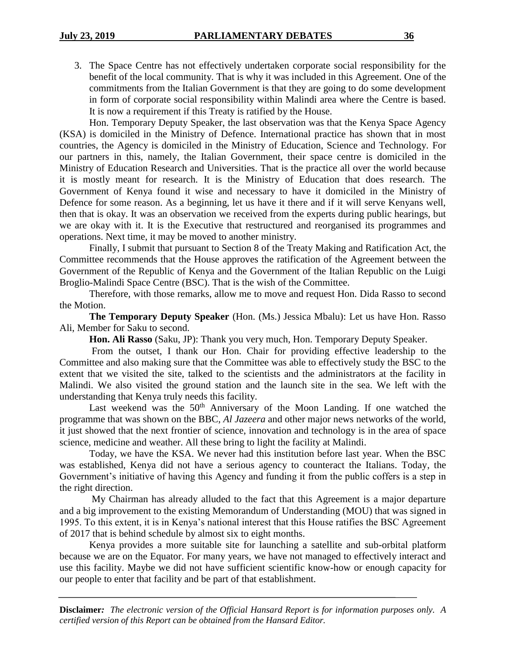3. The Space Centre has not effectively undertaken corporate social responsibility for the benefit of the local community. That is why it was included in this Agreement. One of the commitments from the Italian Government is that they are going to do some development in form of corporate social responsibility within Malindi area where the Centre is based. It is now a requirement if this Treaty is ratified by the House.

Hon. Temporary Deputy Speaker, the last observation was that the Kenya Space Agency (KSA) is domiciled in the Ministry of Defence. International practice has shown that in most countries, the Agency is domiciled in the Ministry of Education, Science and Technology. For our partners in this, namely, the Italian Government, their space centre is domiciled in the Ministry of Education Research and Universities. That is the practice all over the world because it is mostly meant for research. It is the Ministry of Education that does research. The Government of Kenya found it wise and necessary to have it domiciled in the Ministry of Defence for some reason. As a beginning, let us have it there and if it will serve Kenyans well, then that is okay. It was an observation we received from the experts during public hearings, but we are okay with it. It is the Executive that restructured and reorganised its programmes and operations. Next time, it may be moved to another ministry.

Finally, I submit that pursuant to Section 8 of the Treaty Making and Ratification Act, the Committee recommends that the House approves the ratification of the Agreement between the Government of the Republic of Kenya and the Government of the Italian Republic on the Luigi Broglio-Malindi Space Centre (BSC). That is the wish of the Committee.

Therefore, with those remarks, allow me to move and request Hon. Dida Rasso to second the Motion.

**The Temporary Deputy Speaker** (Hon. (Ms.) Jessica Mbalu): Let us have Hon. Rasso Ali, Member for Saku to second.

**Hon. Ali Rasso** (Saku, JP): Thank you very much, Hon. Temporary Deputy Speaker.

From the outset, I thank our Hon. Chair for providing effective leadership to the Committee and also making sure that the Committee was able to effectively study the BSC to the extent that we visited the site, talked to the scientists and the administrators at the facility in Malindi. We also visited the ground station and the launch site in the sea. We left with the understanding that Kenya truly needs this facility.

Last weekend was the  $50<sup>th</sup>$  Anniversary of the Moon Landing. If one watched the programme that was shown on the BBC, *Al Jazeera* and other major news networks of the world, it just showed that the next frontier of science, innovation and technology is in the area of space science, medicine and weather. All these bring to light the facility at Malindi.

Today, we have the KSA. We never had this institution before last year. When the BSC was established, Kenya did not have a serious agency to counteract the Italians. Today, the Government's initiative of having this Agency and funding it from the public coffers is a step in the right direction.

My Chairman has already alluded to the fact that this Agreement is a major departure and a big improvement to the existing Memorandum of Understanding (MOU) that was signed in 1995. To this extent, it is in Kenya's national interest that this House ratifies the BSC Agreement of 2017 that is behind schedule by almost six to eight months.

Kenya provides a more suitable site for launching a satellite and sub-orbital platform because we are on the Equator. For many years, we have not managed to effectively interact and use this facility. Maybe we did not have sufficient scientific know-how or enough capacity for our people to enter that facility and be part of that establishment.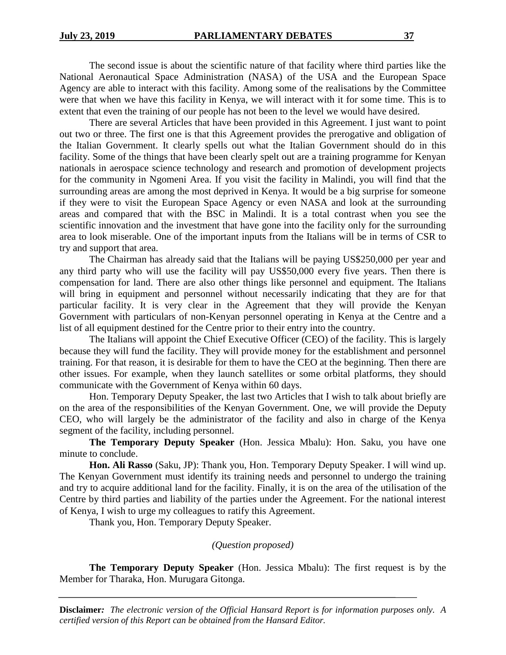## The second issue is about the scientific nature of that facility where third parties like the National Aeronautical Space Administration (NASA) of the USA and the European Space Agency are able to interact with this facility. Among some of the realisations by the Committee were that when we have this facility in Kenya, we will interact with it for some time. This is to extent that even the training of our people has not been to the level we would have desired.

There are several Articles that have been provided in this Agreement. I just want to point out two or three. The first one is that this Agreement provides the prerogative and obligation of the Italian Government. It clearly spells out what the Italian Government should do in this facility. Some of the things that have been clearly spelt out are a training programme for Kenyan nationals in aerospace science technology and research and promotion of development projects for the community in Ngomeni Area. If you visit the facility in Malindi, you will find that the surrounding areas are among the most deprived in Kenya. It would be a big surprise for someone if they were to visit the European Space Agency or even NASA and look at the surrounding areas and compared that with the BSC in Malindi. It is a total contrast when you see the scientific innovation and the investment that have gone into the facility only for the surrounding area to look miserable. One of the important inputs from the Italians will be in terms of CSR to try and support that area.

The Chairman has already said that the Italians will be paying US\$250,000 per year and any third party who will use the facility will pay US\$50,000 every five years. Then there is compensation for land. There are also other things like personnel and equipment. The Italians will bring in equipment and personnel without necessarily indicating that they are for that particular facility. It is very clear in the Agreement that they will provide the Kenyan Government with particulars of non-Kenyan personnel operating in Kenya at the Centre and a list of all equipment destined for the Centre prior to their entry into the country.

The Italians will appoint the Chief Executive Officer (CEO) of the facility. This is largely because they will fund the facility. They will provide money for the establishment and personnel training. For that reason, it is desirable for them to have the CEO at the beginning. Then there are other issues. For example, when they launch satellites or some orbital platforms, they should communicate with the Government of Kenya within 60 days.

Hon. Temporary Deputy Speaker, the last two Articles that I wish to talk about briefly are on the area of the responsibilities of the Kenyan Government. One, we will provide the Deputy CEO, who will largely be the administrator of the facility and also in charge of the Kenya segment of the facility, including personnel.

**The Temporary Deputy Speaker** (Hon. Jessica Mbalu): Hon. Saku, you have one minute to conclude.

**Hon. Ali Rasso** (Saku, JP): Thank you, Hon. Temporary Deputy Speaker. I will wind up. The Kenyan Government must identify its training needs and personnel to undergo the training and try to acquire additional land for the facility. Finally, it is on the area of the utilisation of the Centre by third parties and liability of the parties under the Agreement. For the national interest of Kenya, I wish to urge my colleagues to ratify this Agreement.

Thank you, Hon. Temporary Deputy Speaker.

## *(Question proposed)*

**The Temporary Deputy Speaker** (Hon. Jessica Mbalu): The first request is by the Member for Tharaka, Hon. Murugara Gitonga.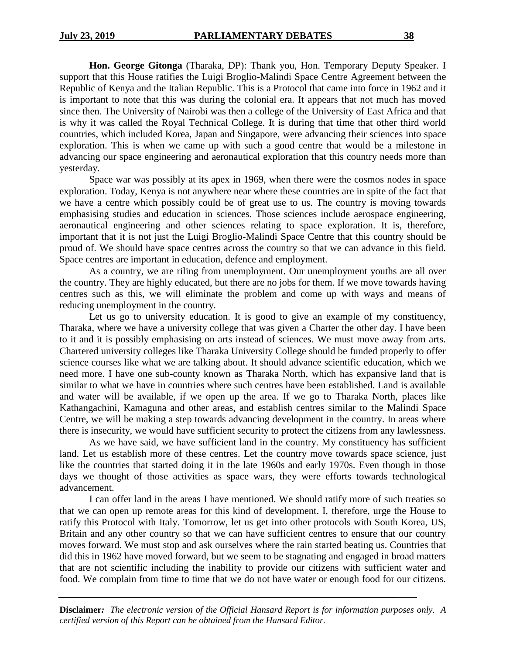**Hon. George Gitonga** (Tharaka, DP): Thank you, Hon. Temporary Deputy Speaker. I support that this House ratifies the Luigi Broglio-Malindi Space Centre Agreement between the Republic of Kenya and the Italian Republic. This is a Protocol that came into force in 1962 and it is important to note that this was during the colonial era. It appears that not much has moved since then. The University of Nairobi was then a college of the University of East Africa and that is why it was called the Royal Technical College. It is during that time that other third world countries, which included Korea, Japan and Singapore, were advancing their sciences into space exploration. This is when we came up with such a good centre that would be a milestone in advancing our space engineering and aeronautical exploration that this country needs more than yesterday.

Space war was possibly at its apex in 1969, when there were the cosmos nodes in space exploration. Today, Kenya is not anywhere near where these countries are in spite of the fact that we have a centre which possibly could be of great use to us. The country is moving towards emphasising studies and education in sciences. Those sciences include aerospace engineering, aeronautical engineering and other sciences relating to space exploration. It is, therefore, important that it is not just the Luigi Broglio-Malindi Space Centre that this country should be proud of. We should have space centres across the country so that we can advance in this field. Space centres are important in education, defence and employment.

As a country, we are riling from unemployment. Our unemployment youths are all over the country. They are highly educated, but there are no jobs for them. If we move towards having centres such as this, we will eliminate the problem and come up with ways and means of reducing unemployment in the country.

Let us go to university education. It is good to give an example of my constituency, Tharaka, where we have a university college that was given a Charter the other day. I have been to it and it is possibly emphasising on arts instead of sciences. We must move away from arts. Chartered university colleges like Tharaka University College should be funded properly to offer science courses like what we are talking about. It should advance scientific education, which we need more. I have one sub-county known as Tharaka North, which has expansive land that is similar to what we have in countries where such centres have been established. Land is available and water will be available, if we open up the area. If we go to Tharaka North, places like Kathangachini, Kamaguna and other areas, and establish centres similar to the Malindi Space Centre, we will be making a step towards advancing development in the country. In areas where there is insecurity, we would have sufficient security to protect the citizens from any lawlessness.

As we have said, we have sufficient land in the country. My constituency has sufficient land. Let us establish more of these centres. Let the country move towards space science, just like the countries that started doing it in the late 1960s and early 1970s. Even though in those days we thought of those activities as space wars, they were efforts towards technological advancement.

I can offer land in the areas I have mentioned. We should ratify more of such treaties so that we can open up remote areas for this kind of development. I, therefore, urge the House to ratify this Protocol with Italy. Tomorrow, let us get into other protocols with South Korea, US, Britain and any other country so that we can have sufficient centres to ensure that our country moves forward. We must stop and ask ourselves where the rain started beating us. Countries that did this in 1962 have moved forward, but we seem to be stagnating and engaged in broad matters that are not scientific including the inability to provide our citizens with sufficient water and food. We complain from time to time that we do not have water or enough food for our citizens.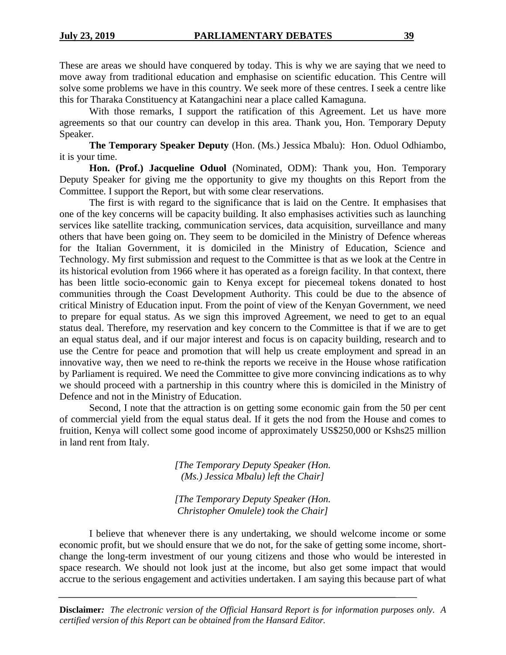These are areas we should have conquered by today. This is why we are saying that we need to move away from traditional education and emphasise on scientific education. This Centre will solve some problems we have in this country. We seek more of these centres. I seek a centre like this for Tharaka Constituency at Katangachini near a place called Kamaguna.

With those remarks, I support the ratification of this Agreement. Let us have more agreements so that our country can develop in this area. Thank you, Hon. Temporary Deputy Speaker.

**The Temporary Speaker Deputy** (Hon. (Ms.) Jessica Mbalu): Hon. Oduol Odhiambo, it is your time.

**Hon. (Prof.) Jacqueline Oduol** (Nominated, ODM): Thank you, Hon. Temporary Deputy Speaker for giving me the opportunity to give my thoughts on this Report from the Committee. I support the Report, but with some clear reservations.

The first is with regard to the significance that is laid on the Centre. It emphasises that one of the key concerns will be capacity building. It also emphasises activities such as launching services like satellite tracking, communication services, data acquisition, surveillance and many others that have been going on. They seem to be domiciled in the Ministry of Defence whereas for the Italian Government, it is domiciled in the Ministry of Education, Science and Technology. My first submission and request to the Committee is that as we look at the Centre in its historical evolution from 1966 where it has operated as a foreign facility. In that context, there has been little socio-economic gain to Kenya except for piecemeal tokens donated to host communities through the Coast Development Authority. This could be due to the absence of critical Ministry of Education input. From the point of view of the Kenyan Government, we need to prepare for equal status. As we sign this improved Agreement, we need to get to an equal status deal. Therefore, my reservation and key concern to the Committee is that if we are to get an equal status deal, and if our major interest and focus is on capacity building, research and to use the Centre for peace and promotion that will help us create employment and spread in an innovative way, then we need to re-think the reports we receive in the House whose ratification by Parliament is required. We need the Committee to give more convincing indications as to why we should proceed with a partnership in this country where this is domiciled in the Ministry of Defence and not in the Ministry of Education.

Second, I note that the attraction is on getting some economic gain from the 50 per cent of commercial yield from the equal status deal. If it gets the nod from the House and comes to fruition, Kenya will collect some good income of approximately US\$250,000 or Kshs25 million in land rent from Italy.

> *[The Temporary Deputy Speaker (Hon. (Ms.) Jessica Mbalu) left the Chair]*

> *[The Temporary Deputy Speaker (Hon. Christopher Omulele) took the Chair]*

I believe that whenever there is any undertaking, we should welcome income or some economic profit, but we should ensure that we do not, for the sake of getting some income, shortchange the long-term investment of our young citizens and those who would be interested in space research. We should not look just at the income, but also get some impact that would accrue to the serious engagement and activities undertaken. I am saying this because part of what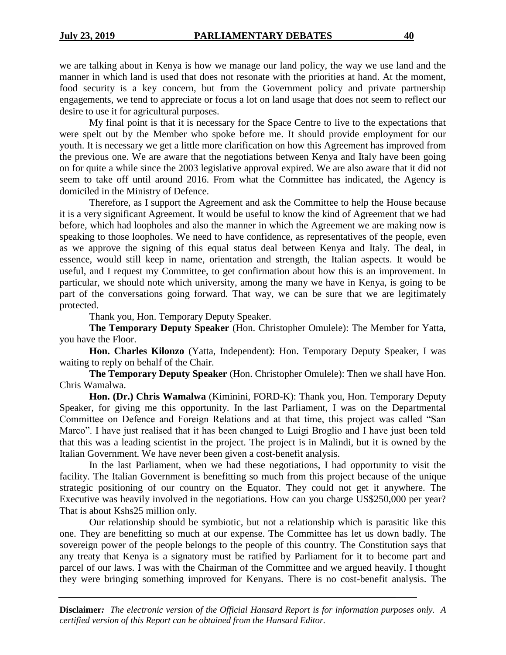we are talking about in Kenya is how we manage our land policy, the way we use land and the manner in which land is used that does not resonate with the priorities at hand. At the moment, food security is a key concern, but from the Government policy and private partnership engagements, we tend to appreciate or focus a lot on land usage that does not seem to reflect our desire to use it for agricultural purposes.

My final point is that it is necessary for the Space Centre to live to the expectations that were spelt out by the Member who spoke before me. It should provide employment for our youth. It is necessary we get a little more clarification on how this Agreement has improved from the previous one. We are aware that the negotiations between Kenya and Italy have been going on for quite a while since the 2003 legislative approval expired. We are also aware that it did not seem to take off until around 2016. From what the Committee has indicated, the Agency is domiciled in the Ministry of Defence.

Therefore, as I support the Agreement and ask the Committee to help the House because it is a very significant Agreement. It would be useful to know the kind of Agreement that we had before, which had loopholes and also the manner in which the Agreement we are making now is speaking to those loopholes. We need to have confidence, as representatives of the people, even as we approve the signing of this equal status deal between Kenya and Italy. The deal, in essence, would still keep in name, orientation and strength, the Italian aspects. It would be useful, and I request my Committee, to get confirmation about how this is an improvement. In particular, we should note which university, among the many we have in Kenya, is going to be part of the conversations going forward. That way, we can be sure that we are legitimately protected.

Thank you, Hon. Temporary Deputy Speaker.

**The Temporary Deputy Speaker** (Hon. Christopher Omulele): The Member for Yatta, you have the Floor.

**Hon. Charles Kilonzo** (Yatta, Independent): Hon. Temporary Deputy Speaker, I was waiting to reply on behalf of the Chair.

**The Temporary Deputy Speaker** (Hon. Christopher Omulele): Then we shall have Hon. Chris Wamalwa.

**Hon. (Dr.) Chris Wamalwa** (Kiminini, FORD-K): Thank you, Hon. Temporary Deputy Speaker, for giving me this opportunity. In the last Parliament, I was on the Departmental Committee on Defence and Foreign Relations and at that time, this project was called "San Marco". I have just realised that it has been changed to Luigi Broglio and I have just been told that this was a leading scientist in the project. The project is in Malindi, but it is owned by the Italian Government. We have never been given a cost-benefit analysis.

In the last Parliament, when we had these negotiations, I had opportunity to visit the facility. The Italian Government is benefitting so much from this project because of the unique strategic positioning of our country on the Equator. They could not get it anywhere. The Executive was heavily involved in the negotiations. How can you charge US\$250,000 per year? That is about Kshs25 million only.

Our relationship should be symbiotic, but not a relationship which is parasitic like this one. They are benefitting so much at our expense. The Committee has let us down badly. The sovereign power of the people belongs to the people of this country. The Constitution says that any treaty that Kenya is a signatory must be ratified by Parliament for it to become part and parcel of our laws. I was with the Chairman of the Committee and we argued heavily. I thought they were bringing something improved for Kenyans. There is no cost-benefit analysis. The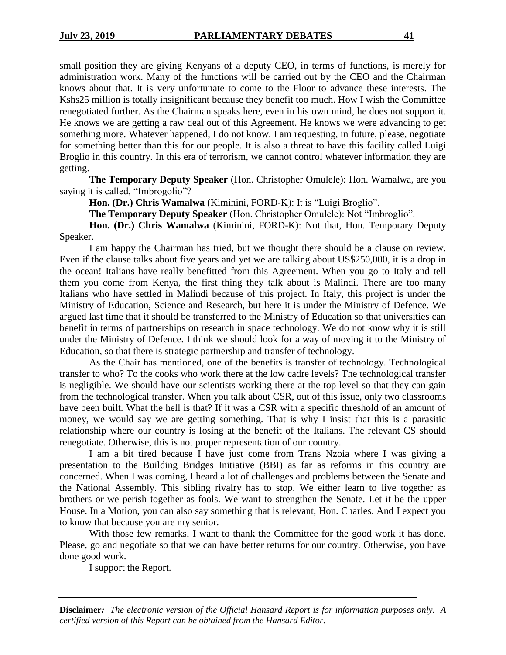small position they are giving Kenyans of a deputy CEO, in terms of functions, is merely for administration work. Many of the functions will be carried out by the CEO and the Chairman knows about that. It is very unfortunate to come to the Floor to advance these interests. The Kshs25 million is totally insignificant because they benefit too much. How I wish the Committee renegotiated further. As the Chairman speaks here, even in his own mind, he does not support it. He knows we are getting a raw deal out of this Agreement. He knows we were advancing to get something more. Whatever happened, I do not know. I am requesting, in future, please, negotiate for something better than this for our people. It is also a threat to have this facility called Luigi Broglio in this country. In this era of terrorism, we cannot control whatever information they are getting.

**The Temporary Deputy Speaker** (Hon. Christopher Omulele): Hon. Wamalwa, are you saying it is called, "Imbrogolio"?

**Hon. (Dr.) Chris Wamalwa** (Kiminini, FORD-K): It is "Luigi Broglio".

**The Temporary Deputy Speaker** (Hon. Christopher Omulele): Not "Imbroglio".

**Hon. (Dr.) Chris Wamalwa** (Kiminini, FORD-K): Not that, Hon. Temporary Deputy Speaker.

I am happy the Chairman has tried, but we thought there should be a clause on review. Even if the clause talks about five years and yet we are talking about US\$250,000, it is a drop in the ocean! Italians have really benefitted from this Agreement. When you go to Italy and tell them you come from Kenya, the first thing they talk about is Malindi. There are too many Italians who have settled in Malindi because of this project. In Italy, this project is under the Ministry of Education, Science and Research, but here it is under the Ministry of Defence. We argued last time that it should be transferred to the Ministry of Education so that universities can benefit in terms of partnerships on research in space technology. We do not know why it is still under the Ministry of Defence. I think we should look for a way of moving it to the Ministry of Education, so that there is strategic partnership and transfer of technology.

As the Chair has mentioned, one of the benefits is transfer of technology. Technological transfer to who? To the cooks who work there at the low cadre levels? The technological transfer is negligible. We should have our scientists working there at the top level so that they can gain from the technological transfer. When you talk about CSR, out of this issue, only two classrooms have been built. What the hell is that? If it was a CSR with a specific threshold of an amount of money, we would say we are getting something. That is why I insist that this is a parasitic relationship where our country is losing at the benefit of the Italians. The relevant CS should renegotiate. Otherwise, this is not proper representation of our country.

I am a bit tired because I have just come from Trans Nzoia where I was giving a presentation to the Building Bridges Initiative (BBI) as far as reforms in this country are concerned. When I was coming, I heard a lot of challenges and problems between the Senate and the National Assembly. This sibling rivalry has to stop. We either learn to live together as brothers or we perish together as fools. We want to strengthen the Senate. Let it be the upper House. In a Motion, you can also say something that is relevant, Hon. Charles. And I expect you to know that because you are my senior.

With those few remarks, I want to thank the Committee for the good work it has done. Please, go and negotiate so that we can have better returns for our country. Otherwise, you have done good work.

I support the Report.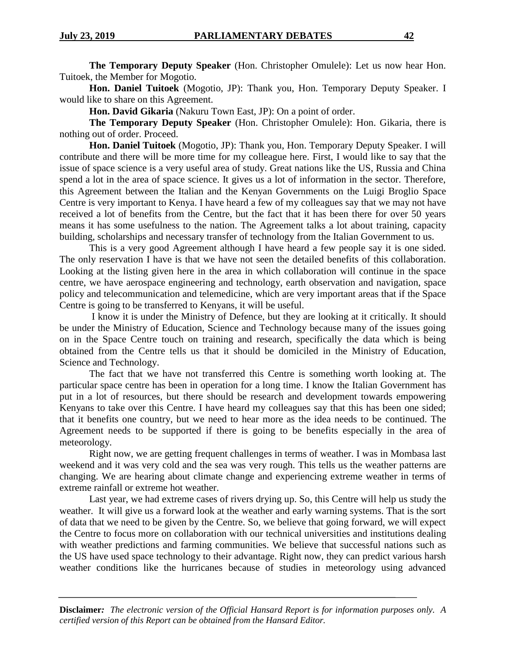**The Temporary Deputy Speaker** (Hon. Christopher Omulele): Let us now hear Hon. Tuitoek, the Member for Mogotio.

**Hon. Daniel Tuitoek** (Mogotio, JP): Thank you, Hon. Temporary Deputy Speaker. I would like to share on this Agreement.

**Hon. David Gikaria** (Nakuru Town East, JP): On a point of order.

**The Temporary Deputy Speaker** (Hon. Christopher Omulele): Hon. Gikaria, there is nothing out of order. Proceed.

**Hon. Daniel Tuitoek** (Mogotio, JP): Thank you, Hon. Temporary Deputy Speaker. I will contribute and there will be more time for my colleague here. First, I would like to say that the issue of space science is a very useful area of study. Great nations like the US, Russia and China spend a lot in the area of space science. It gives us a lot of information in the sector. Therefore, this Agreement between the Italian and the Kenyan Governments on the Luigi Broglio Space Centre is very important to Kenya. I have heard a few of my colleagues say that we may not have received a lot of benefits from the Centre, but the fact that it has been there for over 50 years means it has some usefulness to the nation. The Agreement talks a lot about training, capacity building, scholarships and necessary transfer of technology from the Italian Government to us.

This is a very good Agreement although I have heard a few people say it is one sided. The only reservation I have is that we have not seen the detailed benefits of this collaboration. Looking at the listing given here in the area in which collaboration will continue in the space centre, we have aerospace engineering and technology, earth observation and navigation, space policy and telecommunication and telemedicine, which are very important areas that if the Space Centre is going to be transferred to Kenyans, it will be useful.

I know it is under the Ministry of Defence, but they are looking at it critically. It should be under the Ministry of Education, Science and Technology because many of the issues going on in the Space Centre touch on training and research, specifically the data which is being obtained from the Centre tells us that it should be domiciled in the Ministry of Education, Science and Technology.

The fact that we have not transferred this Centre is something worth looking at. The particular space centre has been in operation for a long time. I know the Italian Government has put in a lot of resources, but there should be research and development towards empowering Kenyans to take over this Centre. I have heard my colleagues say that this has been one sided; that it benefits one country, but we need to hear more as the idea needs to be continued. The Agreement needs to be supported if there is going to be benefits especially in the area of meteorology.

Right now, we are getting frequent challenges in terms of weather. I was in Mombasa last weekend and it was very cold and the sea was very rough. This tells us the weather patterns are changing. We are hearing about climate change and experiencing extreme weather in terms of extreme rainfall or extreme hot weather.

Last year, we had extreme cases of rivers drying up. So, this Centre will help us study the weather. It will give us a forward look at the weather and early warning systems. That is the sort of data that we need to be given by the Centre. So, we believe that going forward, we will expect the Centre to focus more on collaboration with our technical universities and institutions dealing with weather predictions and farming communities. We believe that successful nations such as the US have used space technology to their advantage. Right now, they can predict various harsh weather conditions like the hurricanes because of studies in meteorology using advanced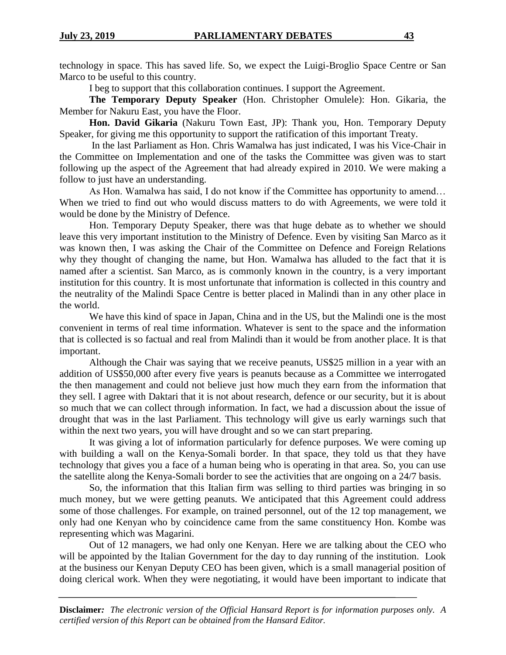technology in space. This has saved life. So, we expect the Luigi-Broglio Space Centre or San Marco to be useful to this country.

I beg to support that this collaboration continues. I support the Agreement.

**The Temporary Deputy Speaker** (Hon. Christopher Omulele): Hon. Gikaria, the Member for Nakuru East, you have the Floor.

**Hon. David Gikaria** (Nakuru Town East, JP): Thank you, Hon. Temporary Deputy Speaker, for giving me this opportunity to support the ratification of this important Treaty.

In the last Parliament as Hon. Chris Wamalwa has just indicated, I was his Vice-Chair in the Committee on Implementation and one of the tasks the Committee was given was to start following up the aspect of the Agreement that had already expired in 2010. We were making a follow to just have an understanding.

As Hon. Wamalwa has said, I do not know if the Committee has opportunity to amend… When we tried to find out who would discuss matters to do with Agreements, we were told it would be done by the Ministry of Defence.

Hon. Temporary Deputy Speaker, there was that huge debate as to whether we should leave this very important institution to the Ministry of Defence. Even by visiting San Marco as it was known then, I was asking the Chair of the Committee on Defence and Foreign Relations why they thought of changing the name, but Hon. Wamalwa has alluded to the fact that it is named after a scientist. San Marco, as is commonly known in the country, is a very important institution for this country. It is most unfortunate that information is collected in this country and the neutrality of the Malindi Space Centre is better placed in Malindi than in any other place in the world.

We have this kind of space in Japan, China and in the US, but the Malindi one is the most convenient in terms of real time information. Whatever is sent to the space and the information that is collected is so factual and real from Malindi than it would be from another place. It is that important.

Although the Chair was saying that we receive peanuts, US\$25 million in a year with an addition of US\$50,000 after every five years is peanuts because as a Committee we interrogated the then management and could not believe just how much they earn from the information that they sell. I agree with Daktari that it is not about research, defence or our security, but it is about so much that we can collect through information. In fact, we had a discussion about the issue of drought that was in the last Parliament. This technology will give us early warnings such that within the next two years, you will have drought and so we can start preparing.

It was giving a lot of information particularly for defence purposes. We were coming up with building a wall on the Kenya-Somali border. In that space, they told us that they have technology that gives you a face of a human being who is operating in that area. So, you can use the satellite along the Kenya-Somali border to see the activities that are ongoing on a 24/7 basis.

So, the information that this Italian firm was selling to third parties was bringing in so much money, but we were getting peanuts. We anticipated that this Agreement could address some of those challenges. For example, on trained personnel, out of the 12 top management, we only had one Kenyan who by coincidence came from the same constituency Hon. Kombe was representing which was Magarini.

Out of 12 managers, we had only one Kenyan. Here we are talking about the CEO who will be appointed by the Italian Government for the day to day running of the institution. Look at the business our Kenyan Deputy CEO has been given, which is a small managerial position of doing clerical work. When they were negotiating, it would have been important to indicate that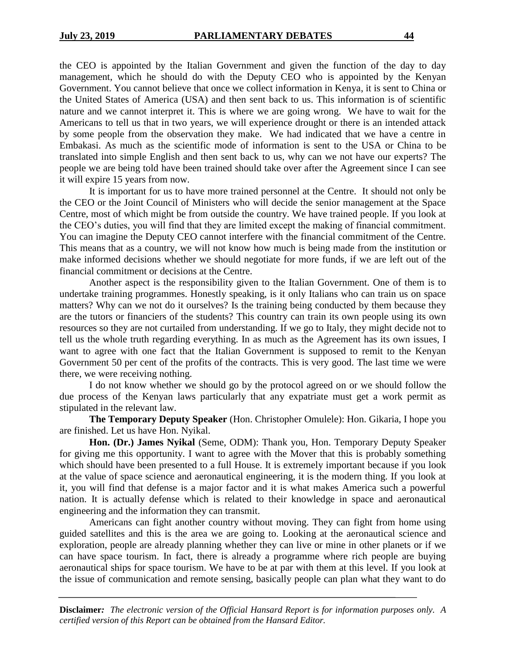the CEO is appointed by the Italian Government and given the function of the day to day management, which he should do with the Deputy CEO who is appointed by the Kenyan Government. You cannot believe that once we collect information in Kenya, it is sent to China or the United States of America (USA) and then sent back to us. This information is of scientific nature and we cannot interpret it. This is where we are going wrong. We have to wait for the Americans to tell us that in two years, we will experience drought or there is an intended attack by some people from the observation they make. We had indicated that we have a centre in Embakasi. As much as the scientific mode of information is sent to the USA or China to be translated into simple English and then sent back to us, why can we not have our experts? The people we are being told have been trained should take over after the Agreement since I can see it will expire 15 years from now.

It is important for us to have more trained personnel at the Centre. It should not only be the CEO or the Joint Council of Ministers who will decide the senior management at the Space Centre, most of which might be from outside the country. We have trained people. If you look at the CEO's duties, you will find that they are limited except the making of financial commitment. You can imagine the Deputy CEO cannot interfere with the financial commitment of the Centre. This means that as a country, we will not know how much is being made from the institution or make informed decisions whether we should negotiate for more funds, if we are left out of the financial commitment or decisions at the Centre.

Another aspect is the responsibility given to the Italian Government. One of them is to undertake training programmes. Honestly speaking, is it only Italians who can train us on space matters? Why can we not do it ourselves? Is the training being conducted by them because they are the tutors or financiers of the students? This country can train its own people using its own resources so they are not curtailed from understanding. If we go to Italy, they might decide not to tell us the whole truth regarding everything. In as much as the Agreement has its own issues, I want to agree with one fact that the Italian Government is supposed to remit to the Kenyan Government 50 per cent of the profits of the contracts. This is very good. The last time we were there, we were receiving nothing.

I do not know whether we should go by the protocol agreed on or we should follow the due process of the Kenyan laws particularly that any expatriate must get a work permit as stipulated in the relevant law.

**The Temporary Deputy Speaker** (Hon. Christopher Omulele): Hon. Gikaria, I hope you are finished. Let us have Hon. Nyikal.

**Hon. (Dr.) James Nyikal** (Seme, ODM): Thank you, Hon. Temporary Deputy Speaker for giving me this opportunity. I want to agree with the Mover that this is probably something which should have been presented to a full House. It is extremely important because if you look at the value of space science and aeronautical engineering, it is the modern thing. If you look at it, you will find that defense is a major factor and it is what makes America such a powerful nation. It is actually defense which is related to their knowledge in space and aeronautical engineering and the information they can transmit.

Americans can fight another country without moving. They can fight from home using guided satellites and this is the area we are going to. Looking at the aeronautical science and exploration, people are already planning whether they can live or mine in other planets or if we can have space tourism. In fact, there is already a programme where rich people are buying aeronautical ships for space tourism. We have to be at par with them at this level. If you look at the issue of communication and remote sensing, basically people can plan what they want to do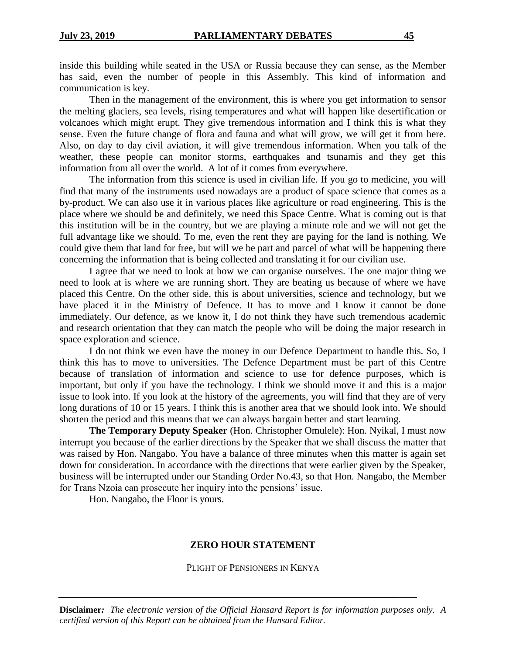inside this building while seated in the USA or Russia because they can sense, as the Member has said, even the number of people in this Assembly. This kind of information and communication is key.

Then in the management of the environment, this is where you get information to sensor the melting glaciers, sea levels, rising temperatures and what will happen like desertification or volcanoes which might erupt. They give tremendous information and I think this is what they sense. Even the future change of flora and fauna and what will grow, we will get it from here. Also, on day to day civil aviation, it will give tremendous information. When you talk of the weather, these people can monitor storms, earthquakes and tsunamis and they get this information from all over the world. A lot of it comes from everywhere.

The information from this science is used in civilian life. If you go to medicine, you will find that many of the instruments used nowadays are a product of space science that comes as a by-product. We can also use it in various places like agriculture or road engineering. This is the place where we should be and definitely, we need this Space Centre. What is coming out is that this institution will be in the country, but we are playing a minute role and we will not get the full advantage like we should. To me, even the rent they are paying for the land is nothing. We could give them that land for free, but will we be part and parcel of what will be happening there concerning the information that is being collected and translating it for our civilian use.

I agree that we need to look at how we can organise ourselves. The one major thing we need to look at is where we are running short. They are beating us because of where we have placed this Centre. On the other side, this is about universities, science and technology, but we have placed it in the Ministry of Defence. It has to move and I know it cannot be done immediately. Our defence, as we know it, I do not think they have such tremendous academic and research orientation that they can match the people who will be doing the major research in space exploration and science.

I do not think we even have the money in our Defence Department to handle this. So, I think this has to move to universities. The Defence Department must be part of this Centre because of translation of information and science to use for defence purposes, which is important, but only if you have the technology. I think we should move it and this is a major issue to look into. If you look at the history of the agreements, you will find that they are of very long durations of 10 or 15 years. I think this is another area that we should look into. We should shorten the period and this means that we can always bargain better and start learning.

**The Temporary Deputy Speaker** (Hon. Christopher Omulele): Hon. Nyikal, I must now interrupt you because of the earlier directions by the Speaker that we shall discuss the matter that was raised by Hon. Nangabo. You have a balance of three minutes when this matter is again set down for consideration. In accordance with the directions that were earlier given by the Speaker, business will be interrupted under our Standing Order No.43, so that Hon. Nangabo, the Member for Trans Nzoia can prosecute her inquiry into the pensions' issue.

Hon. Nangabo, the Floor is yours.

## **ZERO HOUR STATEMENT**

#### PLIGHT OF PENSIONERS IN KENYA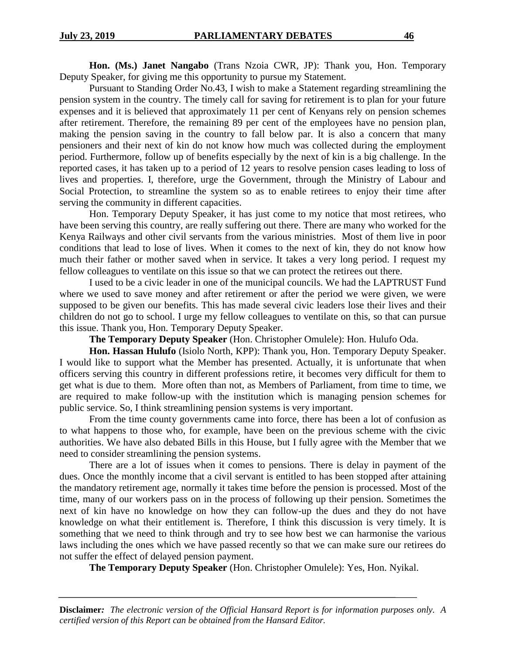**Hon. (Ms.) Janet Nangabo** (Trans Nzoia CWR, JP): Thank you, Hon. Temporary Deputy Speaker, for giving me this opportunity to pursue my Statement.

Pursuant to Standing Order No.43, I wish to make a Statement regarding streamlining the pension system in the country. The timely call for saving for retirement is to plan for your future expenses and it is believed that approximately 11 per cent of Kenyans rely on pension schemes after retirement. Therefore, the remaining 89 per cent of the employees have no pension plan, making the pension saving in the country to fall below par. It is also a concern that many pensioners and their next of kin do not know how much was collected during the employment period. Furthermore, follow up of benefits especially by the next of kin is a big challenge. In the reported cases, it has taken up to a period of 12 years to resolve pension cases leading to loss of lives and properties. I, therefore, urge the Government, through the Ministry of Labour and Social Protection, to streamline the system so as to enable retirees to enjoy their time after serving the community in different capacities.

Hon. Temporary Deputy Speaker, it has just come to my notice that most retirees, who have been serving this country, are really suffering out there. There are many who worked for the Kenya Railways and other civil servants from the various ministries. Most of them live in poor conditions that lead to lose of lives. When it comes to the next of kin, they do not know how much their father or mother saved when in service. It takes a very long period. I request my fellow colleagues to ventilate on this issue so that we can protect the retirees out there.

I used to be a civic leader in one of the municipal councils. We had the LAPTRUST Fund where we used to save money and after retirement or after the period we were given, we were supposed to be given our benefits. This has made several civic leaders lose their lives and their children do not go to school. I urge my fellow colleagues to ventilate on this, so that can pursue this issue. Thank you, Hon. Temporary Deputy Speaker.

**The Temporary Deputy Speaker** (Hon. Christopher Omulele): Hon. Hulufo Oda.

**Hon. Hassan Hulufo** (Isiolo North, KPP): Thank you, Hon. Temporary Deputy Speaker. I would like to support what the Member has presented. Actually, it is unfortunate that when officers serving this country in different professions retire, it becomes very difficult for them to get what is due to them. More often than not, as Members of Parliament, from time to time, we are required to make follow-up with the institution which is managing pension schemes for public service. So, I think streamlining pension systems is very important.

From the time county governments came into force, there has been a lot of confusion as to what happens to those who, for example, have been on the previous scheme with the civic authorities. We have also debated Bills in this House, but I fully agree with the Member that we need to consider streamlining the pension systems.

There are a lot of issues when it comes to pensions. There is delay in payment of the dues. Once the monthly income that a civil servant is entitled to has been stopped after attaining the mandatory retirement age, normally it takes time before the pension is processed. Most of the time, many of our workers pass on in the process of following up their pension. Sometimes the next of kin have no knowledge on how they can follow-up the dues and they do not have knowledge on what their entitlement is. Therefore, I think this discussion is very timely. It is something that we need to think through and try to see how best we can harmonise the various laws including the ones which we have passed recently so that we can make sure our retirees do not suffer the effect of delayed pension payment.

**The Temporary Deputy Speaker** (Hon. Christopher Omulele): Yes, Hon. Nyikal.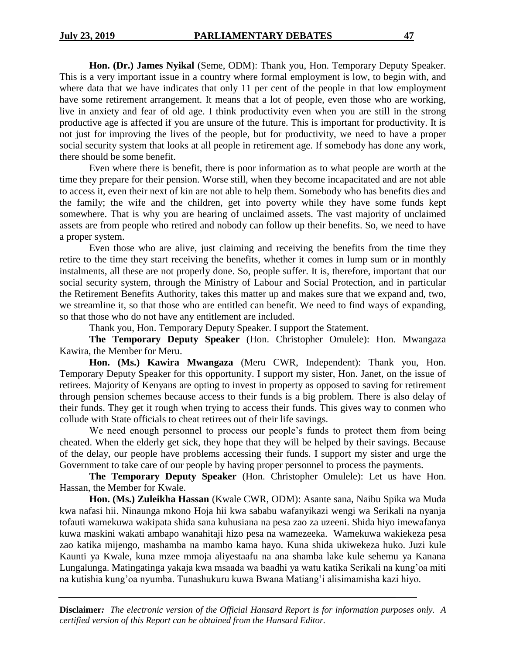**Hon. (Dr.) James Nyikal** (Seme, ODM): Thank you, Hon. Temporary Deputy Speaker. This is a very important issue in a country where formal employment is low, to begin with, and where data that we have indicates that only 11 per cent of the people in that low employment have some retirement arrangement. It means that a lot of people, even those who are working, live in anxiety and fear of old age. I think productivity even when you are still in the strong productive age is affected if you are unsure of the future. This is important for productivity. It is not just for improving the lives of the people, but for productivity, we need to have a proper social security system that looks at all people in retirement age. If somebody has done any work, there should be some benefit.

Even where there is benefit, there is poor information as to what people are worth at the time they prepare for their pension. Worse still, when they become incapacitated and are not able to access it, even their next of kin are not able to help them. Somebody who has benefits dies and the family; the wife and the children, get into poverty while they have some funds kept somewhere. That is why you are hearing of unclaimed assets. The vast majority of unclaimed assets are from people who retired and nobody can follow up their benefits. So, we need to have a proper system.

Even those who are alive, just claiming and receiving the benefits from the time they retire to the time they start receiving the benefits, whether it comes in lump sum or in monthly instalments, all these are not properly done. So, people suffer. It is, therefore, important that our social security system, through the Ministry of Labour and Social Protection, and in particular the Retirement Benefits Authority, takes this matter up and makes sure that we expand and, two, we streamline it, so that those who are entitled can benefit. We need to find ways of expanding, so that those who do not have any entitlement are included.

Thank you, Hon. Temporary Deputy Speaker. I support the Statement.

**The Temporary Deputy Speaker** (Hon. Christopher Omulele): Hon. Mwangaza Kawira, the Member for Meru.

**Hon. (Ms.) Kawira Mwangaza** (Meru CWR, Independent): Thank you, Hon. Temporary Deputy Speaker for this opportunity. I support my sister, Hon. Janet, on the issue of retirees. Majority of Kenyans are opting to invest in property as opposed to saving for retirement through pension schemes because access to their funds is a big problem. There is also delay of their funds. They get it rough when trying to access their funds. This gives way to conmen who collude with State officials to cheat retirees out of their life savings.

We need enough personnel to process our people's funds to protect them from being cheated. When the elderly get sick, they hope that they will be helped by their savings. Because of the delay, our people have problems accessing their funds. I support my sister and urge the Government to take care of our people by having proper personnel to process the payments.

**The Temporary Deputy Speaker** (Hon. Christopher Omulele): Let us have Hon. Hassan, the Member for Kwale.

**Hon. (Ms.) Zuleikha Hassan** (Kwale CWR, ODM): Asante sana, Naibu Spika wa Muda kwa nafasi hii. Ninaunga mkono Hoja hii kwa sababu wafanyikazi wengi wa Serikali na nyanja tofauti wamekuwa wakipata shida sana kuhusiana na pesa zao za uzeeni. Shida hiyo imewafanya kuwa maskini wakati ambapo wanahitaji hizo pesa na wamezeeka. Wamekuwa wakiekeza pesa zao katika mijengo, mashamba na mambo kama hayo. Kuna shida ukiwekeza huko. Juzi kule Kaunti ya Kwale, kuna mzee mmoja aliyestaafu na ana shamba lake kule sehemu ya Kanana Lungalunga. Matingatinga yakaja kwa msaada wa baadhi ya watu katika Serikali na kung'oa miti na kutishia kung'oa nyumba. Tunashukuru kuwa Bwana Matiang'i alisimamisha kazi hiyo.